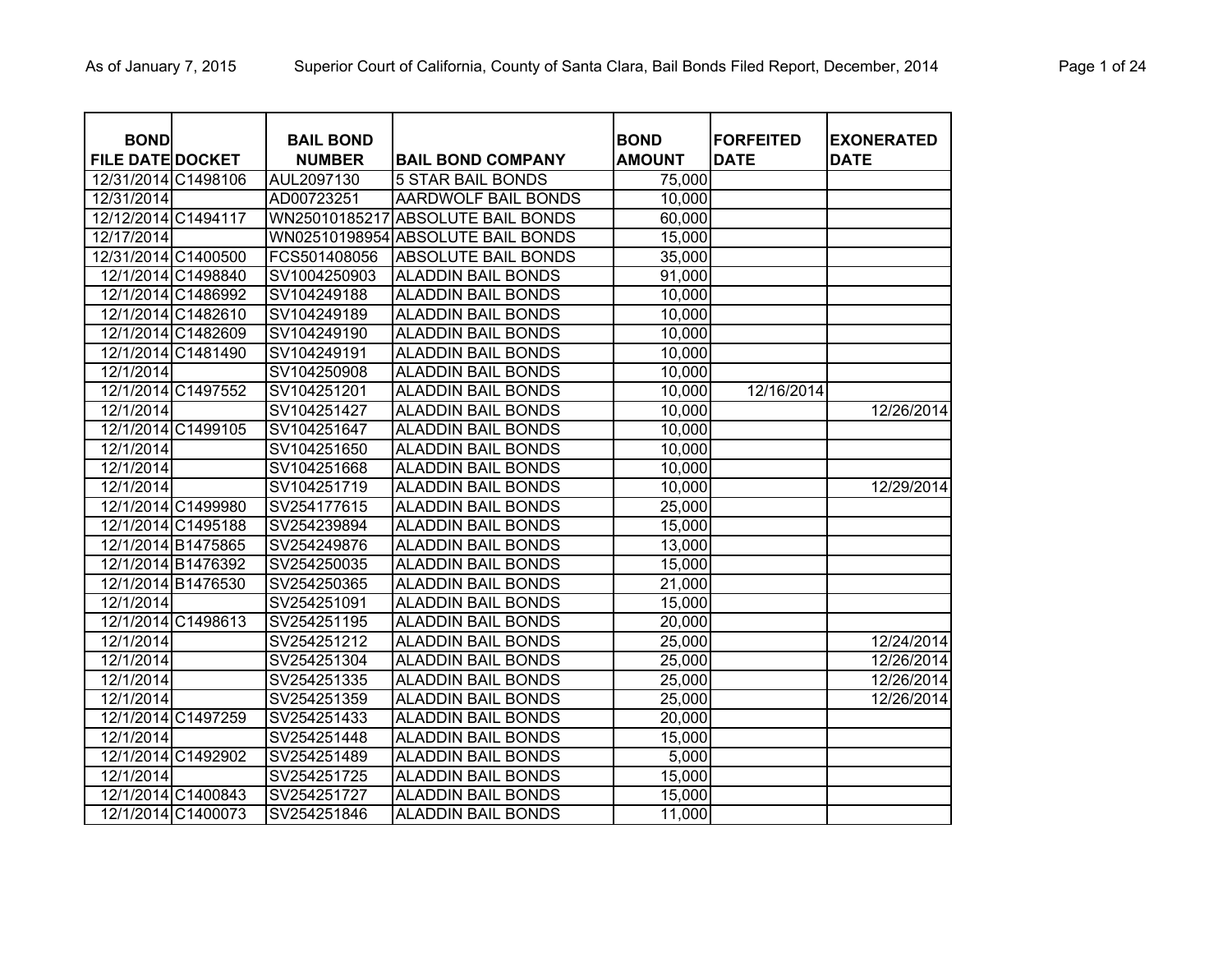| <b>BOND</b><br><b>FILE DATE DOCKET</b> | <b>BAIL BOND</b>            | <b>BAIL BOND COMPANY</b>          | <b>BOND</b><br><b>AMOUNT</b> | <b>FORFEITED</b><br><b>DATE</b> | <b>EXONERATED</b><br><b>DATE</b> |
|----------------------------------------|-----------------------------|-----------------------------------|------------------------------|---------------------------------|----------------------------------|
| 12/31/2014 C1498106                    | <b>NUMBER</b><br>AUL2097130 | <b>5 STAR BAIL BONDS</b>          | 75,000                       |                                 |                                  |
| 12/31/2014                             | AD00723251                  | <b>AARDWOLF BAIL BONDS</b>        | 10,000                       |                                 |                                  |
| 12/12/2014 C1494117                    | WN25010185217               | <b>ABSOLUTE BAIL BONDS</b>        | 60,000                       |                                 |                                  |
| 12/17/2014                             |                             | WN02510198954 ABSOLUTE BAIL BONDS | 15,000                       |                                 |                                  |
| 12/31/2014 C1400500                    | FCS501408056                | <b>ABSOLUTE BAIL BONDS</b>        | 35,000                       |                                 |                                  |
| 12/1/2014 C1498840                     | SV1004250903                | <b>ALADDIN BAIL BONDS</b>         | 91,000                       |                                 |                                  |
| 12/1/2014 C1486992                     | SV104249188                 | <b>ALADDIN BAIL BONDS</b>         | 10,000                       |                                 |                                  |
| 12/1/2014 C1482610                     | SV104249189                 | <b>ALADDIN BAIL BONDS</b>         | 10,000                       |                                 |                                  |
| 12/1/2014 C1482609                     | SV104249190                 | <b>ALADDIN BAIL BONDS</b>         | 10,000                       |                                 |                                  |
| 12/1/2014 C1481490                     | SV104249191                 | <b>ALADDIN BAIL BONDS</b>         | 10,000                       |                                 |                                  |
| 12/1/2014                              | SV104250908                 | <b>ALADDIN BAIL BONDS</b>         | 10,000                       |                                 |                                  |
| 12/1/2014 C1497552                     | SV104251201                 | <b>ALADDIN BAIL BONDS</b>         | 10,000                       | 12/16/2014                      |                                  |
| 12/1/2014                              | SV104251427                 | <b>ALADDIN BAIL BONDS</b>         | 10,000                       |                                 | 12/26/2014                       |
| 12/1/2014 C1499105                     | SV104251647                 | <b>ALADDIN BAIL BONDS</b>         | 10,000                       |                                 |                                  |
| 12/1/2014                              | SV104251650                 | <b>ALADDIN BAIL BONDS</b>         | 10,000                       |                                 |                                  |
| 12/1/2014                              | SV104251668                 | <b>ALADDIN BAIL BONDS</b>         | 10,000                       |                                 |                                  |
| 12/1/2014                              | SV104251719                 | <b>ALADDIN BAIL BONDS</b>         | 10,000                       |                                 | 12/29/2014                       |
| 12/1/2014 C1499980                     | SV254177615                 | <b>ALADDIN BAIL BONDS</b>         | 25,000                       |                                 |                                  |
| 12/1/2014 C1495188                     | SV254239894                 | <b>ALADDIN BAIL BONDS</b>         | 15,000                       |                                 |                                  |
| 12/1/2014 B1475865                     | SV254249876                 | <b>ALADDIN BAIL BONDS</b>         | 13,000                       |                                 |                                  |
| 12/1/2014 B1476392                     | SV254250035                 | <b>ALADDIN BAIL BONDS</b>         | 15,000                       |                                 |                                  |
| 12/1/2014 B1476530                     | SV254250365                 | <b>ALADDIN BAIL BONDS</b>         | 21,000                       |                                 |                                  |
| 12/1/2014                              | SV254251091                 | <b>ALADDIN BAIL BONDS</b>         | 15,000                       |                                 |                                  |
| 12/1/2014 C1498613                     | SV254251195                 | <b>ALADDIN BAIL BONDS</b>         | 20,000                       |                                 |                                  |
| 12/1/2014                              | SV254251212                 | <b>ALADDIN BAIL BONDS</b>         | 25,000                       |                                 | 12/24/2014                       |
| 12/1/2014                              | SV254251304                 | <b>ALADDIN BAIL BONDS</b>         | 25,000                       |                                 | 12/26/2014                       |
| 12/1/2014                              | SV254251335                 | <b>ALADDIN BAIL BONDS</b>         | 25,000                       |                                 | 12/26/2014                       |
| 12/1/2014                              | SV254251359                 | <b>ALADDIN BAIL BONDS</b>         | 25,000                       |                                 | 12/26/2014                       |
| 12/1/2014 C1497259                     | SV254251433                 | <b>ALADDIN BAIL BONDS</b>         | 20,000                       |                                 |                                  |
| 12/1/2014                              | SV254251448                 | <b>ALADDIN BAIL BONDS</b>         | 15,000                       |                                 |                                  |
| 12/1/2014 C1492902                     | SV254251489                 | <b>ALADDIN BAIL BONDS</b>         | 5,000                        |                                 |                                  |
| 12/1/2014                              | SV254251725                 | <b>ALADDIN BAIL BONDS</b>         | 15,000                       |                                 |                                  |
| 12/1/2014 C1400843                     | SV254251727                 | <b>ALADDIN BAIL BONDS</b>         | 15,000                       |                                 |                                  |
| 12/1/2014 C1400073                     | SV254251846                 | <b>ALADDIN BAIL BONDS</b>         | 11,000                       |                                 |                                  |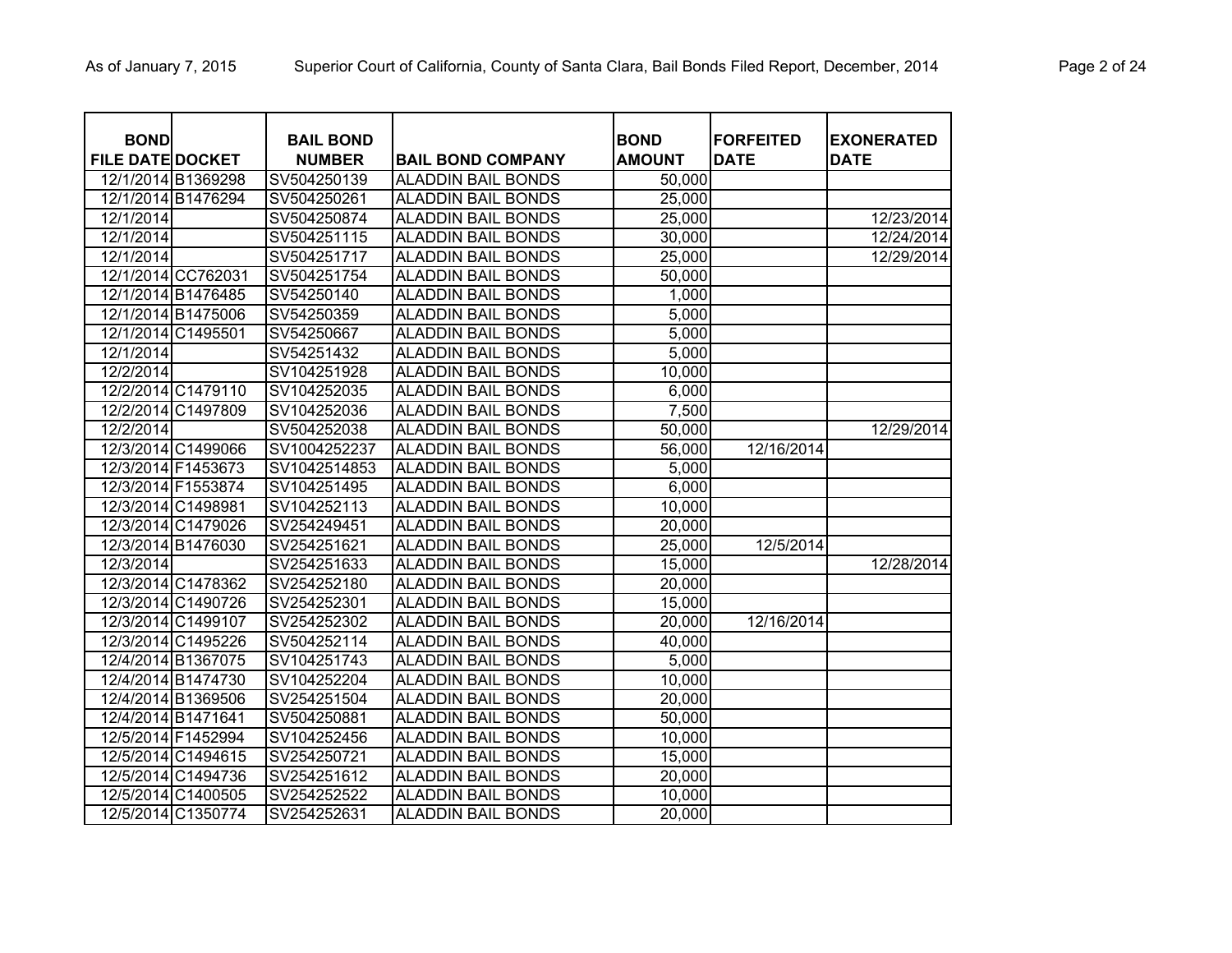| <b>BOND</b><br><b>FILE DATE DOCKET</b> |                    | <b>BAIL BOND</b><br><b>NUMBER</b> | <b>BAIL BOND COMPANY</b>  | <b>BOND</b><br><b>AMOUNT</b> | <b>FORFEITED</b><br><b>DATE</b> | <b>EXONERATED</b><br><b>DATE</b> |
|----------------------------------------|--------------------|-----------------------------------|---------------------------|------------------------------|---------------------------------|----------------------------------|
|                                        | 12/1/2014 B1369298 | SV504250139                       | <b>ALADDIN BAIL BONDS</b> | 50,000                       |                                 |                                  |
|                                        | 12/1/2014 B1476294 | SV504250261                       | <b>ALADDIN BAIL BONDS</b> | 25,000                       |                                 |                                  |
| 12/1/2014                              |                    | SV504250874                       | <b>ALADDIN BAIL BONDS</b> | 25,000                       |                                 | 12/23/2014                       |
| 12/1/2014                              |                    | SV504251115                       | <b>ALADDIN BAIL BONDS</b> | 30,000                       |                                 | 12/24/2014                       |
| 12/1/2014                              |                    | SV504251717                       | <b>ALADDIN BAIL BONDS</b> | 25,000                       |                                 | 12/29/2014                       |
|                                        | 12/1/2014 CC762031 | SV504251754                       | <b>ALADDIN BAIL BONDS</b> | 50,000                       |                                 |                                  |
|                                        | 12/1/2014 B1476485 | SV54250140                        | <b>ALADDIN BAIL BONDS</b> | 1,000                        |                                 |                                  |
|                                        | 12/1/2014 B1475006 | SV54250359                        | <b>ALADDIN BAIL BONDS</b> | 5,000                        |                                 |                                  |
|                                        | 12/1/2014 C1495501 | SV54250667                        | <b>ALADDIN BAIL BONDS</b> | 5,000                        |                                 |                                  |
| 12/1/2014                              |                    | SV54251432                        | <b>ALADDIN BAIL BONDS</b> | 5,000                        |                                 |                                  |
| 12/2/2014                              |                    | SV104251928                       | <b>ALADDIN BAIL BONDS</b> | 10,000                       |                                 |                                  |
|                                        | 12/2/2014 C1479110 | SV104252035                       | <b>ALADDIN BAIL BONDS</b> | 6,000                        |                                 |                                  |
|                                        | 12/2/2014 C1497809 | SV104252036                       | <b>ALADDIN BAIL BONDS</b> | 7,500                        |                                 |                                  |
| 12/2/2014                              |                    | SV504252038                       | <b>ALADDIN BAIL BONDS</b> | 50,000                       |                                 | 12/29/2014                       |
|                                        | 12/3/2014 C1499066 | SV1004252237                      | <b>ALADDIN BAIL BONDS</b> | 56,000                       | 12/16/2014                      |                                  |
|                                        | 12/3/2014 F1453673 | SV1042514853                      | <b>ALADDIN BAIL BONDS</b> | 5,000                        |                                 |                                  |
|                                        | 12/3/2014 F1553874 | SV104251495                       | <b>ALADDIN BAIL BONDS</b> | 6,000                        |                                 |                                  |
|                                        | 12/3/2014 C1498981 | SV104252113                       | <b>ALADDIN BAIL BONDS</b> | 10,000                       |                                 |                                  |
|                                        | 12/3/2014 C1479026 | SV254249451                       | <b>ALADDIN BAIL BONDS</b> | 20,000                       |                                 |                                  |
|                                        | 12/3/2014 B1476030 | SV254251621                       | <b>ALADDIN BAIL BONDS</b> | 25,000                       | 12/5/2014                       |                                  |
| 12/3/2014                              |                    | SV254251633                       | <b>ALADDIN BAIL BONDS</b> | 15,000                       |                                 | 12/28/2014                       |
|                                        | 12/3/2014 C1478362 | SV254252180                       | <b>ALADDIN BAIL BONDS</b> | 20,000                       |                                 |                                  |
|                                        | 12/3/2014 C1490726 | SV254252301                       | <b>ALADDIN BAIL BONDS</b> | 15,000                       |                                 |                                  |
|                                        | 12/3/2014 C1499107 | SV254252302                       | <b>ALADDIN BAIL BONDS</b> | 20,000                       | 12/16/2014                      |                                  |
|                                        | 12/3/2014 C1495226 | SV504252114                       | <b>ALADDIN BAIL BONDS</b> | 40,000                       |                                 |                                  |
|                                        | 12/4/2014 B1367075 | SV104251743                       | <b>ALADDIN BAIL BONDS</b> | 5,000                        |                                 |                                  |
|                                        | 12/4/2014 B1474730 | SV104252204                       | <b>ALADDIN BAIL BONDS</b> | 10,000                       |                                 |                                  |
|                                        | 12/4/2014 B1369506 | SV254251504                       | <b>ALADDIN BAIL BONDS</b> | 20,000                       |                                 |                                  |
| 12/4/2014 B1471641                     |                    | SV504250881                       | <b>ALADDIN BAIL BONDS</b> | 50,000                       |                                 |                                  |
|                                        | 12/5/2014 F1452994 | SV104252456                       | <b>ALADDIN BAIL BONDS</b> | 10,000                       |                                 |                                  |
|                                        | 12/5/2014 C1494615 | SV254250721                       | <b>ALADDIN BAIL BONDS</b> | 15,000                       |                                 |                                  |
|                                        | 12/5/2014 C1494736 | SV254251612                       | <b>ALADDIN BAIL BONDS</b> | 20,000                       |                                 |                                  |
|                                        | 12/5/2014 C1400505 | SV254252522                       | <b>ALADDIN BAIL BONDS</b> | 10,000                       |                                 |                                  |
|                                        | 12/5/2014 C1350774 | SV254252631                       | <b>ALADDIN BAIL BONDS</b> | 20,000                       |                                 |                                  |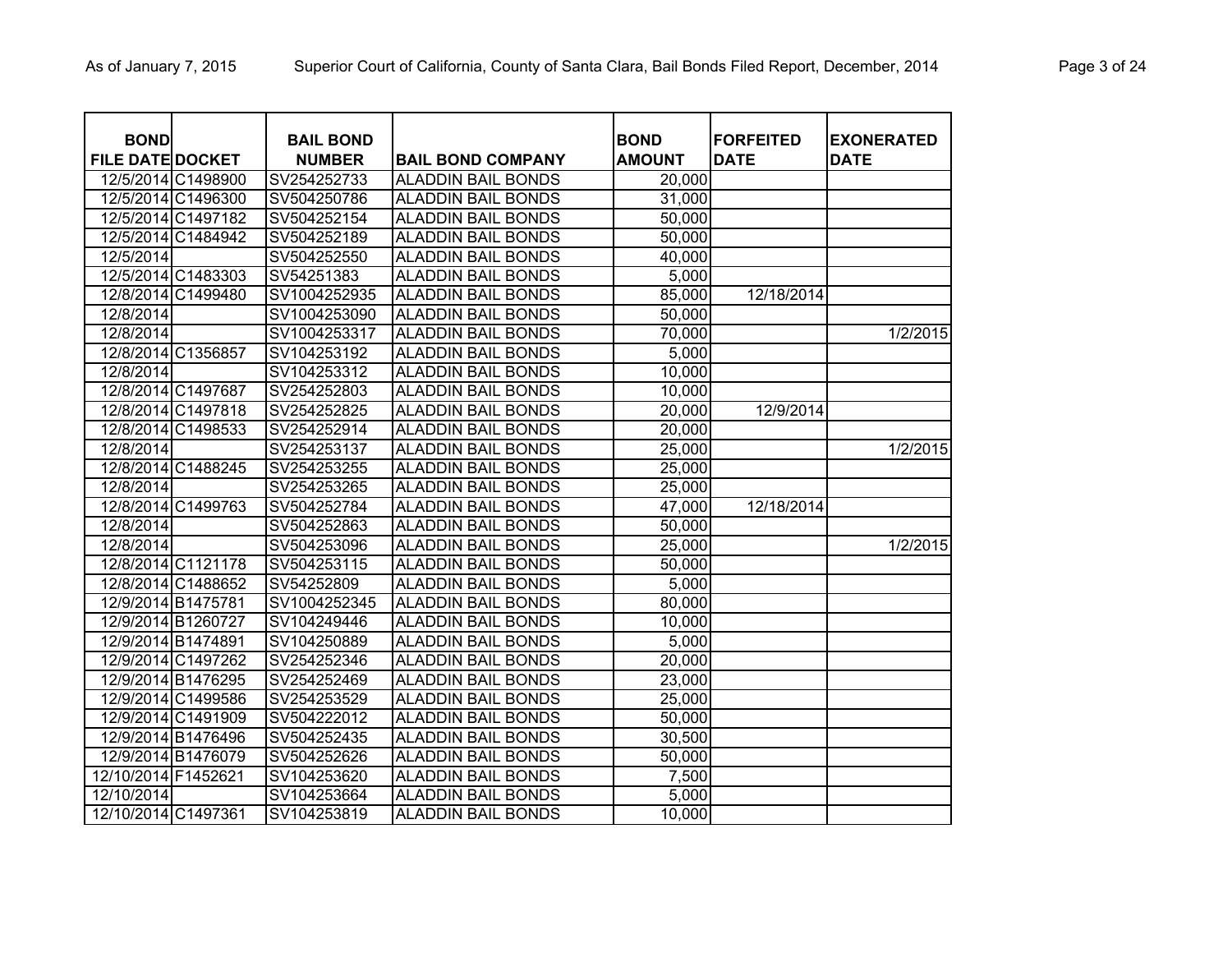| <b>BOND</b><br><b>FILE DATE DOCKET</b> |                    | <b>BAIL BOND</b><br><b>NUMBER</b> | <b>BAIL BOND COMPANY</b>  | <b>BOND</b><br><b>AMOUNT</b> | <b>FORFEITED</b><br><b>DATE</b> | <b>EXONERATED</b><br><b>DATE</b> |
|----------------------------------------|--------------------|-----------------------------------|---------------------------|------------------------------|---------------------------------|----------------------------------|
|                                        | 12/5/2014 C1498900 | SV254252733                       | <b>ALADDIN BAIL BONDS</b> | 20,000                       |                                 |                                  |
|                                        | 12/5/2014 C1496300 | SV504250786                       | <b>ALADDIN BAIL BONDS</b> | 31,000                       |                                 |                                  |
|                                        | 12/5/2014 C1497182 | SV504252154                       | <b>ALADDIN BAIL BONDS</b> | 50,000                       |                                 |                                  |
|                                        | 12/5/2014 C1484942 | SV504252189                       | <b>ALADDIN BAIL BONDS</b> | 50,000                       |                                 |                                  |
| 12/5/2014                              |                    | SV504252550                       | <b>ALADDIN BAIL BONDS</b> | 40,000                       |                                 |                                  |
|                                        | 12/5/2014 C1483303 | SV54251383                        | <b>ALADDIN BAIL BONDS</b> | 5,000                        |                                 |                                  |
|                                        | 12/8/2014 C1499480 | SV1004252935                      | <b>ALADDIN BAIL BONDS</b> | 85,000                       | 12/18/2014                      |                                  |
| 12/8/2014                              |                    | SV1004253090                      | <b>ALADDIN BAIL BONDS</b> | 50,000                       |                                 |                                  |
| 12/8/2014                              |                    | SV1004253317                      | <b>ALADDIN BAIL BONDS</b> | 70,000                       |                                 | 1/2/2015                         |
|                                        | 12/8/2014 C1356857 | SV104253192                       | <b>ALADDIN BAIL BONDS</b> | 5,000                        |                                 |                                  |
| 12/8/2014                              |                    | SV104253312                       | <b>ALADDIN BAIL BONDS</b> | 10,000                       |                                 |                                  |
|                                        | 12/8/2014 C1497687 | SV254252803                       | <b>ALADDIN BAIL BONDS</b> | 10,000                       |                                 |                                  |
|                                        | 12/8/2014 C1497818 | SV254252825                       | <b>ALADDIN BAIL BONDS</b> | 20,000                       | 12/9/2014                       |                                  |
|                                        | 12/8/2014 C1498533 | SV254252914                       | <b>ALADDIN BAIL BONDS</b> | 20,000                       |                                 |                                  |
| 12/8/2014                              |                    | SV254253137                       | <b>ALADDIN BAIL BONDS</b> | 25,000                       |                                 | 1/2/2015                         |
|                                        | 12/8/2014 C1488245 | SV254253255                       | <b>ALADDIN BAIL BONDS</b> | 25,000                       |                                 |                                  |
| 12/8/2014                              |                    | SV254253265                       | <b>ALADDIN BAIL BONDS</b> | 25,000                       |                                 |                                  |
|                                        | 12/8/2014 C1499763 | SV504252784                       | <b>ALADDIN BAIL BONDS</b> | 47,000                       | 12/18/2014                      |                                  |
| 12/8/2014                              |                    | SV504252863                       | <b>ALADDIN BAIL BONDS</b> | 50,000                       |                                 |                                  |
| 12/8/2014                              |                    | SV504253096                       | <b>ALADDIN BAIL BONDS</b> | 25,000                       |                                 | 1/2/2015                         |
|                                        | 12/8/2014 C1121178 | SV504253115                       | <b>ALADDIN BAIL BONDS</b> | 50,000                       |                                 |                                  |
|                                        | 12/8/2014 C1488652 | SV54252809                        | <b>ALADDIN BAIL BONDS</b> | 5,000                        |                                 |                                  |
|                                        | 12/9/2014 B1475781 | SV1004252345                      | <b>ALADDIN BAIL BONDS</b> | 80,000                       |                                 |                                  |
|                                        | 12/9/2014 B1260727 | SV104249446                       | <b>ALADDIN BAIL BONDS</b> | 10,000                       |                                 |                                  |
|                                        | 12/9/2014 B1474891 | SV104250889                       | <b>ALADDIN BAIL BONDS</b> | 5,000                        |                                 |                                  |
|                                        | 12/9/2014 C1497262 | SV254252346                       | <b>ALADDIN BAIL BONDS</b> | 20,000                       |                                 |                                  |
|                                        | 12/9/2014 B1476295 | SV254252469                       | <b>ALADDIN BAIL BONDS</b> | 23,000                       |                                 |                                  |
|                                        | 12/9/2014 C1499586 | SV254253529                       | <b>ALADDIN BAIL BONDS</b> | 25,000                       |                                 |                                  |
|                                        | 12/9/2014 C1491909 | SV504222012                       | <b>ALADDIN BAIL BONDS</b> | 50,000                       |                                 |                                  |
|                                        | 12/9/2014 B1476496 | SV504252435                       | <b>ALADDIN BAIL BONDS</b> | 30,500                       |                                 |                                  |
|                                        | 12/9/2014 B1476079 | SV504252626                       | <b>ALADDIN BAIL BONDS</b> | 50,000                       |                                 |                                  |
| 12/10/2014 F1452621                    |                    | SV104253620                       | <b>ALADDIN BAIL BONDS</b> | 7,500                        |                                 |                                  |
| 12/10/2014                             |                    | SV104253664                       | <b>ALADDIN BAIL BONDS</b> | 5,000                        |                                 |                                  |
| 12/10/2014 C1497361                    |                    | SV104253819                       | <b>ALADDIN BAIL BONDS</b> | 10,000                       |                                 |                                  |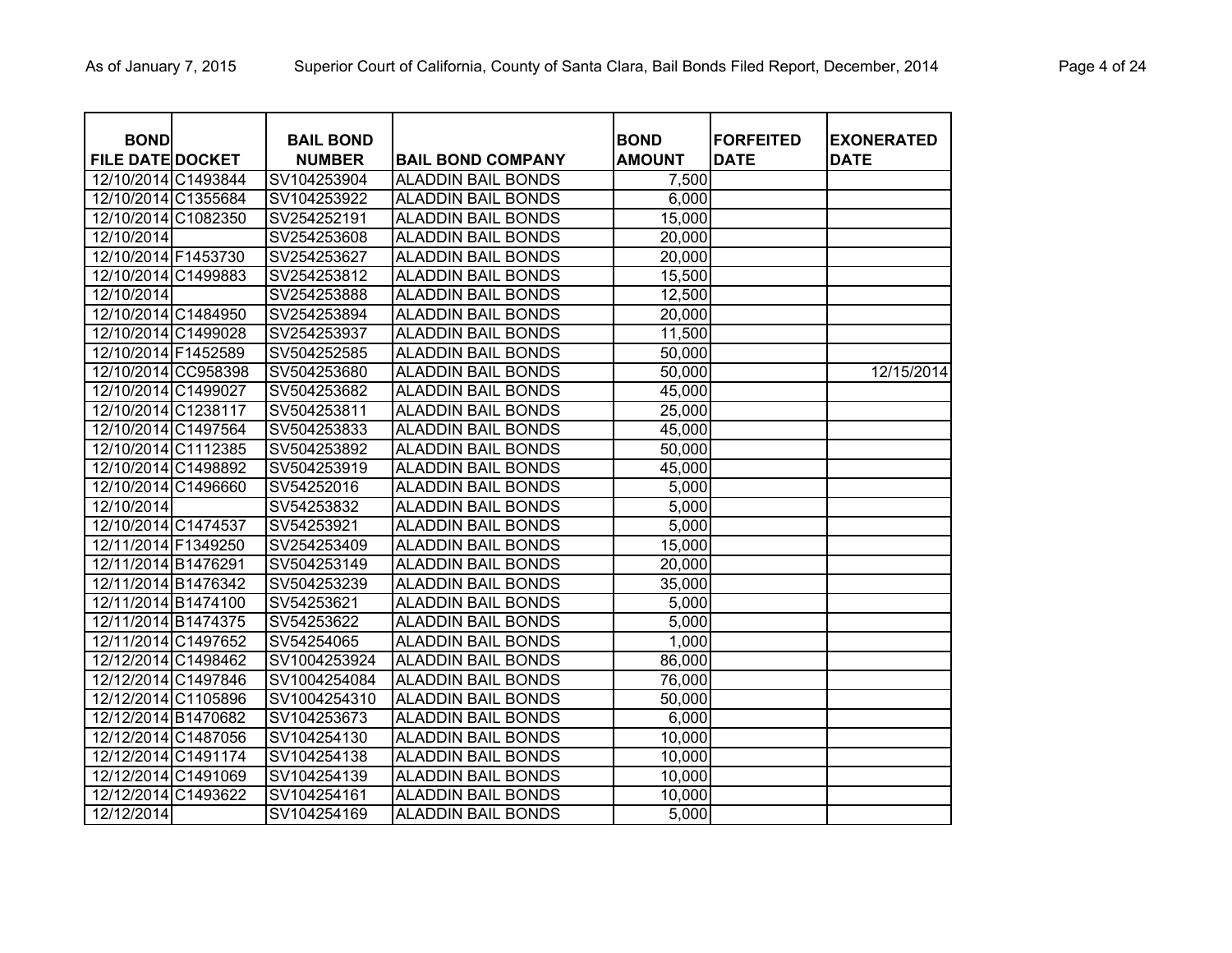| <b>BOND</b>             | <b>BAIL BOND</b> |                           | <b>BOND</b>   | <b>FORFEITED</b> | <b>EXONERATED</b> |
|-------------------------|------------------|---------------------------|---------------|------------------|-------------------|
| <b>FILE DATE DOCKET</b> | <b>NUMBER</b>    | <b>BAIL BOND COMPANY</b>  | <b>AMOUNT</b> | <b>DATE</b>      | <b>DATE</b>       |
| 12/10/2014 C1493844     | SV104253904      | <b>ALADDIN BAIL BONDS</b> | 7,500         |                  |                   |
| 12/10/2014 C1355684     | SV104253922      | <b>ALADDIN BAIL BONDS</b> | 6,000         |                  |                   |
| 12/10/2014 C1082350     | SV254252191      | <b>ALADDIN BAIL BONDS</b> | 15,000        |                  |                   |
| 12/10/2014              | SV254253608      | <b>ALADDIN BAIL BONDS</b> | 20,000        |                  |                   |
| 12/10/2014 F1453730     | SV254253627      | <b>ALADDIN BAIL BONDS</b> | 20,000        |                  |                   |
| 12/10/2014 C1499883     | SV254253812      | <b>ALADDIN BAIL BONDS</b> | 15,500        |                  |                   |
| 12/10/2014              | SV254253888      | <b>ALADDIN BAIL BONDS</b> | 12,500        |                  |                   |
| 12/10/2014 C1484950     | SV254253894      | <b>ALADDIN BAIL BONDS</b> | 20,000        |                  |                   |
| 12/10/2014 C1499028     | SV254253937      | <b>ALADDIN BAIL BONDS</b> | 11,500        |                  |                   |
| 12/10/2014 F1452589     | SV504252585      | <b>ALADDIN BAIL BONDS</b> | 50,000        |                  |                   |
| 12/10/2014 CC958398     | SV504253680      | <b>ALADDIN BAIL BONDS</b> | 50,000        |                  | 12/15/2014        |
| 12/10/2014 C1499027     | SV504253682      | <b>ALADDIN BAIL BONDS</b> | 45,000        |                  |                   |
| 12/10/2014 C1238117     | SV504253811      | <b>ALADDIN BAIL BONDS</b> | 25,000        |                  |                   |
| 12/10/2014 C1497564     | SV504253833      | <b>ALADDIN BAIL BONDS</b> | 45,000        |                  |                   |
| 12/10/2014 C1112385     | SV504253892      | <b>ALADDIN BAIL BONDS</b> | 50,000        |                  |                   |
| 12/10/2014 C1498892     | SV504253919      | <b>ALADDIN BAIL BONDS</b> | 45,000        |                  |                   |
| 12/10/2014 C1496660     | SV54252016       | <b>ALADDIN BAIL BONDS</b> | 5,000         |                  |                   |
| 12/10/2014              | SV54253832       | <b>ALADDIN BAIL BONDS</b> | 5,000         |                  |                   |
| 12/10/2014 C1474537     | SV54253921       | <b>ALADDIN BAIL BONDS</b> | 5,000         |                  |                   |
| 12/11/2014 F1349250     | SV254253409      | <b>ALADDIN BAIL BONDS</b> | 15,000        |                  |                   |
| 12/11/2014 B1476291     | SV504253149      | <b>ALADDIN BAIL BONDS</b> | 20,000        |                  |                   |
| 12/11/2014 B1476342     | SV504253239      | <b>ALADDIN BAIL BONDS</b> | 35,000        |                  |                   |
| 12/11/2014 B1474100     | SV54253621       | <b>ALADDIN BAIL BONDS</b> | 5,000         |                  |                   |
| 12/11/2014 B1474375     | SV54253622       | <b>ALADDIN BAIL BONDS</b> | 5,000         |                  |                   |
| 12/11/2014 C1497652     | SV54254065       | <b>ALADDIN BAIL BONDS</b> | 1,000         |                  |                   |
| 12/12/2014 C1498462     | SV1004253924     | <b>ALADDIN BAIL BONDS</b> | 86,000        |                  |                   |
| 12/12/2014 C1497846     | SV1004254084     | <b>ALADDIN BAIL BONDS</b> | 76,000        |                  |                   |
| 12/12/2014 C1105896     | SV1004254310     | <b>ALADDIN BAIL BONDS</b> | 50,000        |                  |                   |
| 12/12/2014 B1470682     | SV104253673      | <b>ALADDIN BAIL BONDS</b> | 6,000         |                  |                   |
| 12/12/2014 C1487056     | SV104254130      | <b>ALADDIN BAIL BONDS</b> | 10,000        |                  |                   |
| 12/12/2014 C1491174     | SV104254138      | <b>ALADDIN BAIL BONDS</b> | 10,000        |                  |                   |
| 12/12/2014 C1491069     | SV104254139      | <b>ALADDIN BAIL BONDS</b> | 10,000        |                  |                   |
| 12/12/2014 C1493622     | SV104254161      | <b>ALADDIN BAIL BONDS</b> | 10,000        |                  |                   |
| 12/12/2014              | SV104254169      | <b>ALADDIN BAIL BONDS</b> | 5,000         |                  |                   |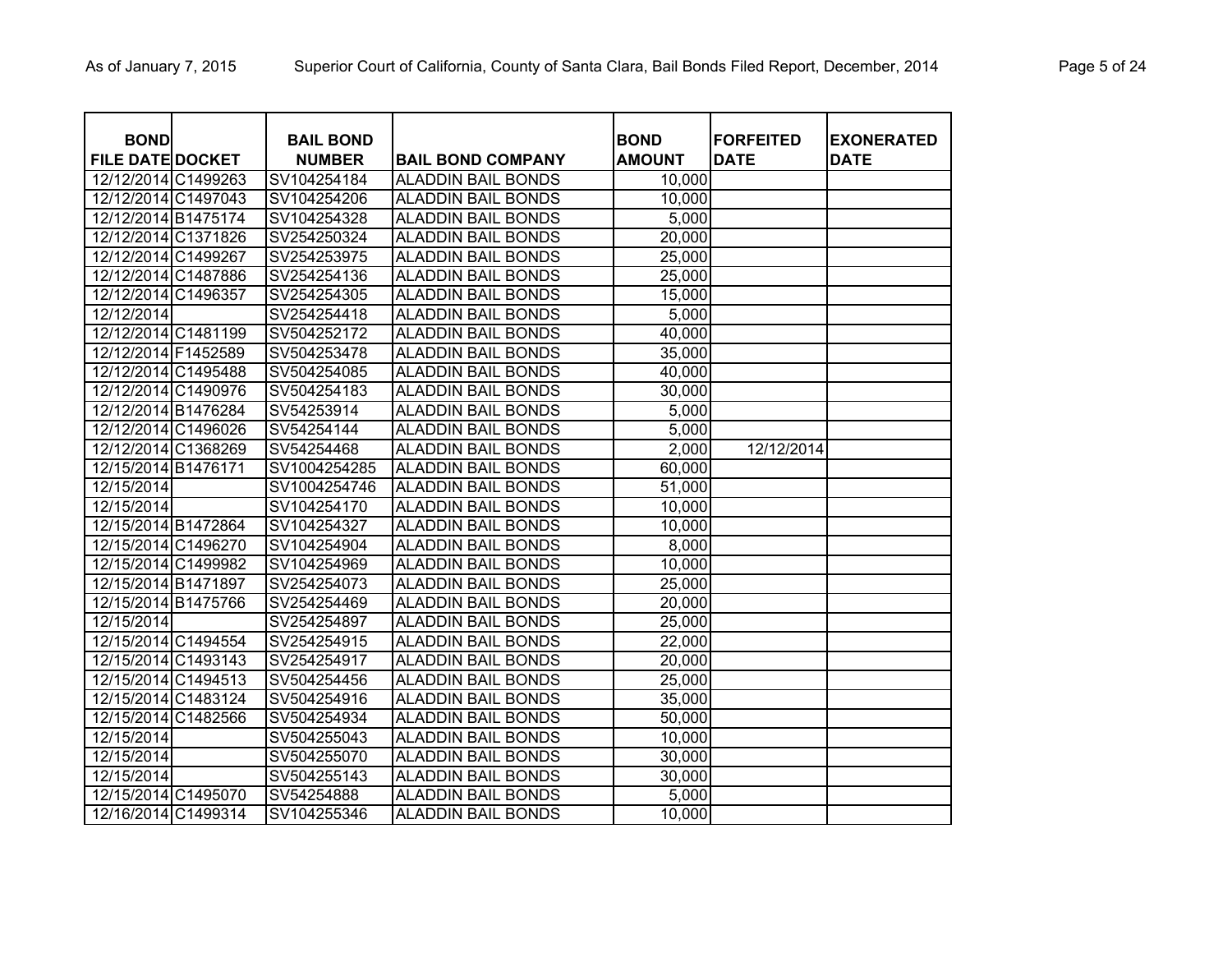| <b>BOND</b><br><b>FILE DATE DOCKET</b> | <b>BAIL BOND</b><br><b>NUMBER</b> | <b>BAIL BOND COMPANY</b>  | <b>BOND</b><br><b>AMOUNT</b> | <b>FORFEITED</b><br><b>DATE</b> | <b>EXONERATED</b><br><b>DATE</b> |
|----------------------------------------|-----------------------------------|---------------------------|------------------------------|---------------------------------|----------------------------------|
| 12/12/2014 C1499263                    | SV104254184                       | <b>ALADDIN BAIL BONDS</b> | 10,000                       |                                 |                                  |
| 12/12/2014 C1497043                    | SV104254206                       | <b>ALADDIN BAIL BONDS</b> | 10,000                       |                                 |                                  |
| 12/12/2014 B1475174                    | SV104254328                       | <b>ALADDIN BAIL BONDS</b> | 5,000                        |                                 |                                  |
| 12/12/2014 C1371826                    | SV254250324                       | <b>ALADDIN BAIL BONDS</b> | 20,000                       |                                 |                                  |
| 12/12/2014 C1499267                    | SV254253975                       | <b>ALADDIN BAIL BONDS</b> | 25,000                       |                                 |                                  |
| 12/12/2014 C1487886                    | SV254254136                       | ALADDIN BAIL BONDS        | 25,000                       |                                 |                                  |
| 12/12/2014 C1496357                    | SV254254305                       | ALADDIN BAIL BONDS        | 15,000                       |                                 |                                  |
| 12/12/2014                             | SV254254418                       | ALADDIN BAIL BONDS        | 5,000                        |                                 |                                  |
| 12/12/2014 C1481199                    | SV504252172                       | ALADDIN BAIL BONDS        | 40,000                       |                                 |                                  |
| 12/12/2014 F1452589                    | SV504253478                       | ALADDIN BAIL BONDS        | 35,000                       |                                 |                                  |
| 12/12/2014 C1495488                    | SV504254085                       | ALADDIN BAIL BONDS        | 40,000                       |                                 |                                  |
| 12/12/2014 C1490976                    | SV504254183                       | ALADDIN BAIL BONDS        | 30,000                       |                                 |                                  |
| 12/12/2014 B1476284                    | SV54253914                        | ALADDIN BAIL BONDS        | 5,000                        |                                 |                                  |
| 12/12/2014 C1496026                    | SV54254144                        | ALADDIN BAIL BONDS        | 5,000                        |                                 |                                  |
| 12/12/2014 C1368269                    | SV54254468                        | ALADDIN BAIL BONDS        | 2,000                        | 12/12/2014                      |                                  |
| 12/15/2014 B1476171                    | SV1004254285                      | <b>ALADDIN BAIL BONDS</b> | 60,000                       |                                 |                                  |
| 12/15/2014                             | SV1004254746                      | <b>ALADDIN BAIL BONDS</b> | 51,000                       |                                 |                                  |
| 12/15/2014                             | SV104254170                       | ALADDIN BAIL BONDS        | 10,000                       |                                 |                                  |
| 12/15/2014 B1472864                    | SV104254327                       | ALADDIN BAIL BONDS        | 10,000                       |                                 |                                  |
| 12/15/2014 C1496270                    | SV104254904                       | ALADDIN BAIL BONDS        | 8,000                        |                                 |                                  |
| 12/15/2014 C1499982                    | SV104254969                       | ALADDIN BAIL BONDS        | 10,000                       |                                 |                                  |
| 12/15/2014 B1471897                    | SV254254073                       | <b>ALADDIN BAIL BONDS</b> | 25,000                       |                                 |                                  |
| 12/15/2014 B1475766                    | SV254254469                       | <b>ALADDIN BAIL BONDS</b> | 20,000                       |                                 |                                  |
| 12/15/2014                             | SV254254897                       | <b>ALADDIN BAIL BONDS</b> | 25,000                       |                                 |                                  |
| 12/15/2014 C1494554                    | SV254254915                       | <b>ALADDIN BAIL BONDS</b> | 22,000                       |                                 |                                  |
| 12/15/2014 C1493143                    | SV254254917                       | <b>ALADDIN BAIL BONDS</b> | 20,000                       |                                 |                                  |
| 12/15/2014 C1494513                    | SV504254456                       | <b>ALADDIN BAIL BONDS</b> | 25,000                       |                                 |                                  |
| 12/15/2014 C1483124                    | SV504254916                       | <b>ALADDIN BAIL BONDS</b> | 35,000                       |                                 |                                  |
| 12/15/2014 C1482566                    | SV504254934                       | <b>ALADDIN BAIL BONDS</b> | 50,000                       |                                 |                                  |
| 12/15/2014                             | SV504255043                       | <b>ALADDIN BAIL BONDS</b> | 10,000                       |                                 |                                  |
| 12/15/2014                             | SV504255070                       | <b>ALADDIN BAIL BONDS</b> | 30,000                       |                                 |                                  |
| 12/15/2014                             | SV504255143                       | <b>ALADDIN BAIL BONDS</b> | 30,000                       |                                 |                                  |
| 12/15/2014 C1495070                    | SV54254888                        | <b>ALADDIN BAIL BONDS</b> | 5,000                        |                                 |                                  |
| 12/16/2014 C1499314                    | SV104255346                       | <b>ALADDIN BAIL BONDS</b> | 10,000                       |                                 |                                  |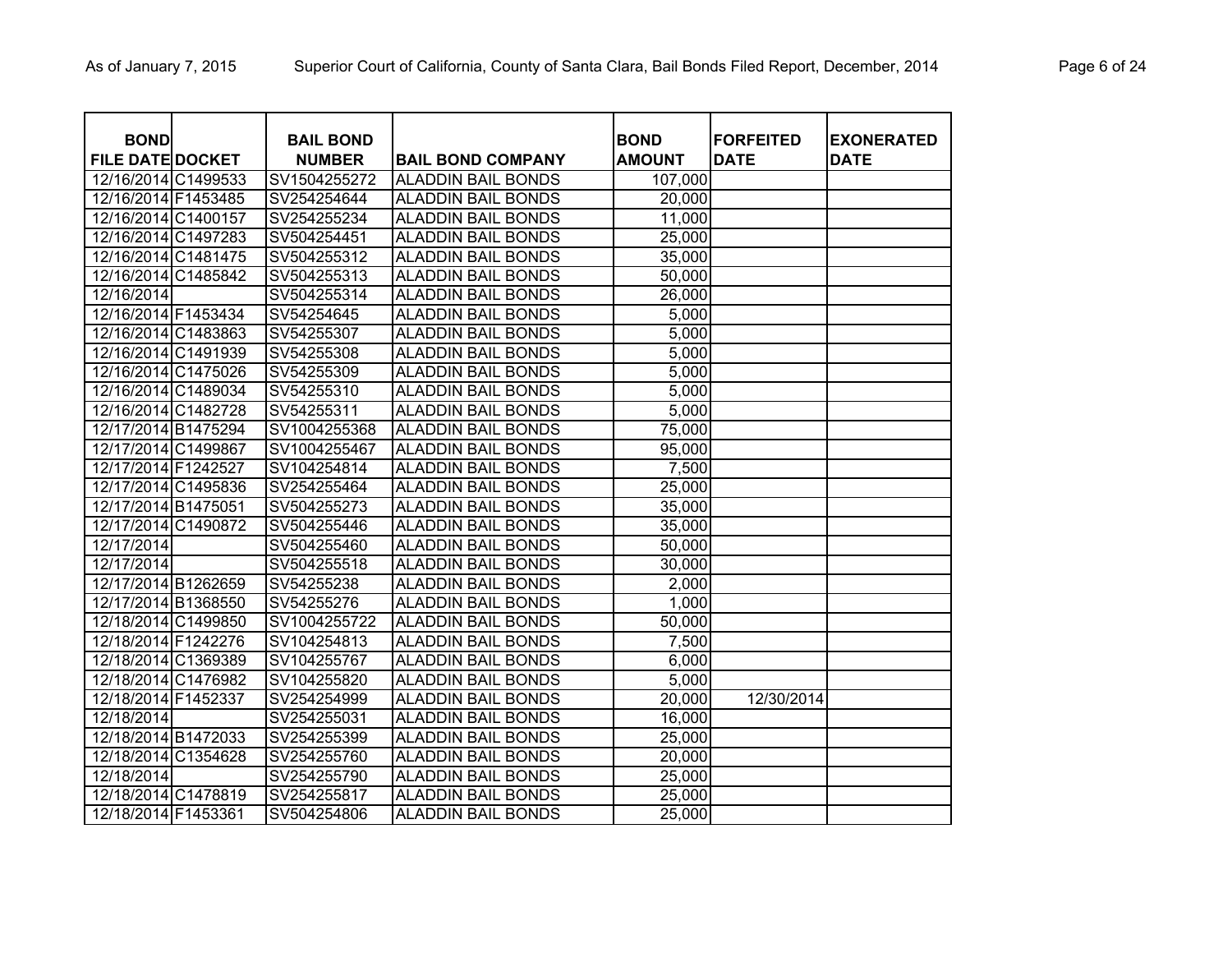| <b>BOND</b>             | <b>BAIL BOND</b> |                           | <b>BOND</b>   | <b>FORFEITED</b> | <b>EXONERATED</b> |
|-------------------------|------------------|---------------------------|---------------|------------------|-------------------|
| <b>FILE DATE DOCKET</b> | <b>NUMBER</b>    | <b>BAIL BOND COMPANY</b>  | <b>AMOUNT</b> | <b>DATE</b>      | <b>DATE</b>       |
| 12/16/2014 C1499533     | SV1504255272     | <b>ALADDIN BAIL BONDS</b> | 107,000       |                  |                   |
| 12/16/2014 F1453485     | SV254254644      | <b>ALADDIN BAIL BONDS</b> | 20,000        |                  |                   |
| 12/16/2014 C1400157     | SV254255234      | <b>ALADDIN BAIL BONDS</b> | 11,000        |                  |                   |
| 12/16/2014 C1497283     | SV504254451      | <b>ALADDIN BAIL BONDS</b> | 25,000        |                  |                   |
| 12/16/2014 C1481475     | SV504255312      | <b>ALADDIN BAIL BONDS</b> | 35,000        |                  |                   |
| 12/16/2014 C1485842     | SV504255313      | <b>ALADDIN BAIL BONDS</b> | 50,000        |                  |                   |
| 12/16/2014              | SV504255314      | <b>ALADDIN BAIL BONDS</b> | 26,000        |                  |                   |
| 12/16/2014 F1453434     | SV54254645       | <b>ALADDIN BAIL BONDS</b> | 5,000         |                  |                   |
| 12/16/2014 C1483863     | SV54255307       | <b>ALADDIN BAIL BONDS</b> | 5,000         |                  |                   |
| 12/16/2014 C1491939     | SV54255308       | <b>ALADDIN BAIL BONDS</b> | 5,000         |                  |                   |
| 12/16/2014 C1475026     | SV54255309       | <b>ALADDIN BAIL BONDS</b> | 5,000         |                  |                   |
| 12/16/2014 C1489034     | SV54255310       | <b>ALADDIN BAIL BONDS</b> | 5,000         |                  |                   |
| 12/16/2014 C1482728     | SV54255311       | <b>ALADDIN BAIL BONDS</b> | 5,000         |                  |                   |
| 12/17/2014 B1475294     | SV1004255368     | <b>ALADDIN BAIL BONDS</b> | 75,000        |                  |                   |
| 12/17/2014 C1499867     | SV1004255467     | <b>ALADDIN BAIL BONDS</b> | 95,000        |                  |                   |
| 12/17/2014 F1242527     | SV104254814      | <b>ALADDIN BAIL BONDS</b> | 7,500         |                  |                   |
| 12/17/2014 C1495836     | SV254255464      | <b>ALADDIN BAIL BONDS</b> | 25,000        |                  |                   |
| 12/17/2014 B1475051     | SV504255273      | <b>ALADDIN BAIL BONDS</b> | 35,000        |                  |                   |
| 12/17/2014 C1490872     | SV504255446      | <b>ALADDIN BAIL BONDS</b> | 35,000        |                  |                   |
| 12/17/2014              | SV504255460      | <b>ALADDIN BAIL BONDS</b> | 50,000        |                  |                   |
| 12/17/2014              | SV504255518      | <b>ALADDIN BAIL BONDS</b> | 30,000        |                  |                   |
| 12/17/2014 B1262659     | SV54255238       | <b>ALADDIN BAIL BONDS</b> | 2,000         |                  |                   |
| 12/17/2014 B1368550     | SV54255276       | <b>ALADDIN BAIL BONDS</b> | 1,000         |                  |                   |
| 12/18/2014 C1499850     | SV1004255722     | <b>ALADDIN BAIL BONDS</b> | 50,000        |                  |                   |
| 12/18/2014 F1242276     | SV104254813      | <b>ALADDIN BAIL BONDS</b> | 7,500         |                  |                   |
| 12/18/2014 C1369389     | SV104255767      | <b>ALADDIN BAIL BONDS</b> | 6,000         |                  |                   |
| 12/18/2014 C1476982     | SV104255820      | <b>ALADDIN BAIL BONDS</b> | 5,000         |                  |                   |
| 12/18/2014 F1452337     | SV254254999      | <b>ALADDIN BAIL BONDS</b> | 20,000        | 12/30/2014       |                   |
| 12/18/2014              | SV254255031      | <b>ALADDIN BAIL BONDS</b> | 16,000        |                  |                   |
| 12/18/2014 B1472033     | SV254255399      | <b>ALADDIN BAIL BONDS</b> | 25,000        |                  |                   |
| 12/18/2014 C1354628     | SV254255760      | <b>ALADDIN BAIL BONDS</b> | 20,000        |                  |                   |
| 12/18/2014              | SV254255790      | <b>ALADDIN BAIL BONDS</b> | 25,000        |                  |                   |
| 12/18/2014 C1478819     | SV254255817      | <b>ALADDIN BAIL BONDS</b> | 25,000        |                  |                   |
| 12/18/2014 F1453361     | SV504254806      | <b>ALADDIN BAIL BONDS</b> | 25,000        |                  |                   |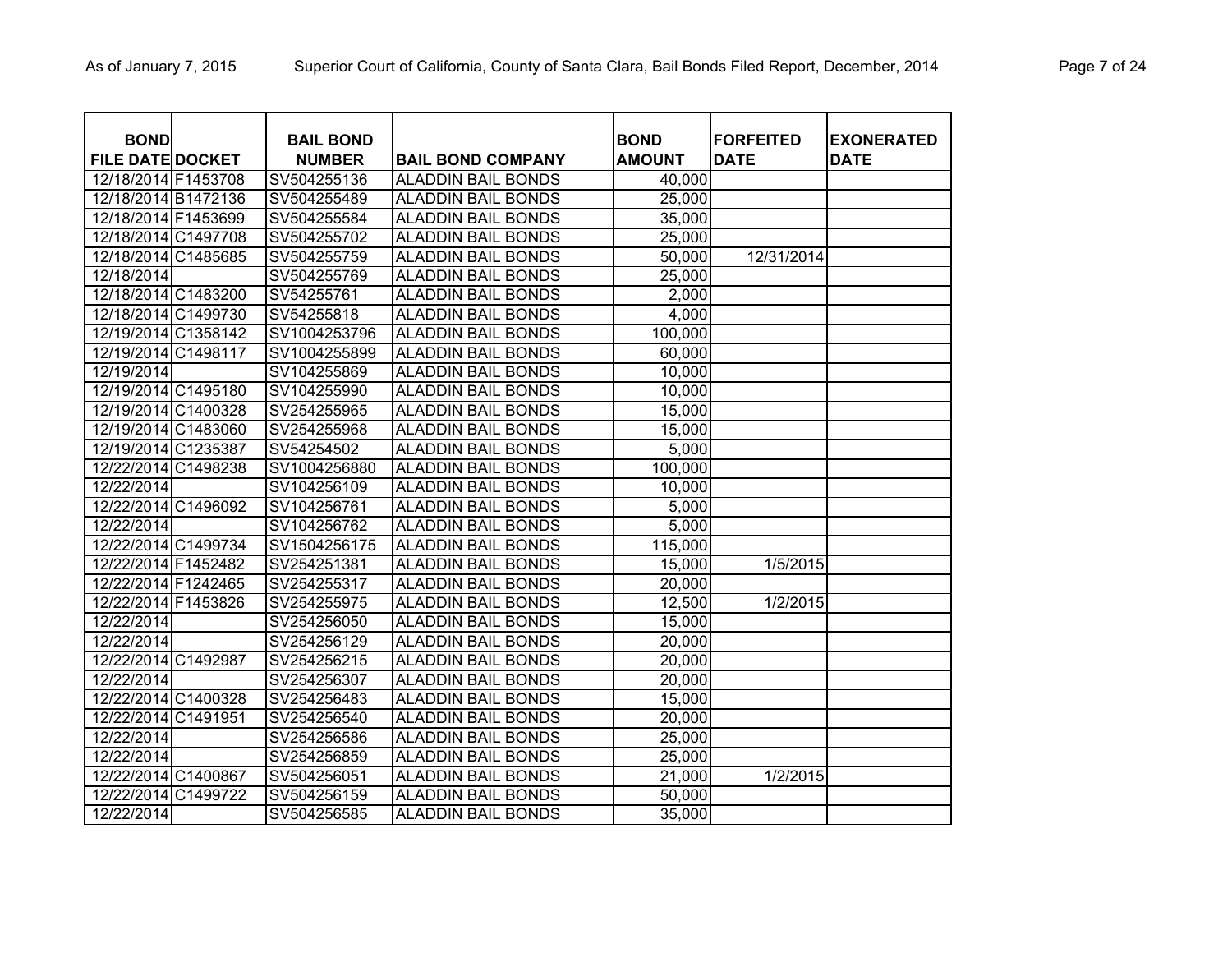| <b>BOND</b><br><b>FILE DATE DOCKET</b> | <b>BAIL BOND</b><br><b>NUMBER</b> | <b>BAIL BOND COMPANY</b>  | <b>BOND</b><br><b>AMOUNT</b> | <b>FORFEITED</b><br><b>DATE</b> | <b>EXONERATED</b><br><b>DATE</b> |
|----------------------------------------|-----------------------------------|---------------------------|------------------------------|---------------------------------|----------------------------------|
| 12/18/2014 F1453708                    | SV504255136                       | <b>ALADDIN BAIL BONDS</b> | 40,000                       |                                 |                                  |
| 12/18/2014 B1472136                    | SV504255489                       | <b>ALADDIN BAIL BONDS</b> | 25,000                       |                                 |                                  |
| 12/18/2014 F1453699                    | SV504255584                       | <b>ALADDIN BAIL BONDS</b> | 35,000                       |                                 |                                  |
| 12/18/2014 C1497708                    | SV504255702                       | <b>ALADDIN BAIL BONDS</b> | 25,000                       |                                 |                                  |
| 12/18/2014 C1485685                    | SV504255759                       | ALADDIN BAIL BONDS        | 50,000                       | 12/31/2014                      |                                  |
| 12/18/2014                             | SV504255769                       | ALADDIN BAIL BONDS        | 25,000                       |                                 |                                  |
| 12/18/2014 C1483200                    | SV54255761                        | ALADDIN BAIL BONDS        | 2,000                        |                                 |                                  |
| 12/18/2014 C1499730                    | SV54255818                        | ALADDIN BAIL BONDS        | 4,000                        |                                 |                                  |
| 12/19/2014 C1358142                    | SV1004253796                      | <b>ALADDIN BAIL BONDS</b> | 100,000                      |                                 |                                  |
| 12/19/2014 C1498117                    | SV1004255899                      | <b>ALADDIN BAIL BONDS</b> | 60,000                       |                                 |                                  |
| 12/19/2014                             | SV104255869                       | ALADDIN BAIL BONDS        | 10,000                       |                                 |                                  |
| 12/19/2014 C1495180                    | SV104255990                       | ALADDIN BAIL BONDS        | 10,000                       |                                 |                                  |
| 12/19/2014 C1400328                    | SV254255965                       | ALADDIN BAIL BONDS        | 15,000                       |                                 |                                  |
| 12/19/2014 C1483060                    | SV254255968                       | ALADDIN BAIL BONDS        | 15,000                       |                                 |                                  |
| 12/19/2014 C1235387                    | SV54254502                        | ALADDIN BAIL BONDS        | 5,000                        |                                 |                                  |
| 12/22/2014 C1498238                    | SV1004256880                      | <b>ALADDIN BAIL BONDS</b> | 100,000                      |                                 |                                  |
| 12/22/2014                             | SV104256109                       | <b>ALADDIN BAIL BONDS</b> | 10,000                       |                                 |                                  |
| 12/22/2014 C1496092                    | SV104256761                       | ALADDIN BAIL BONDS        | 5,000                        |                                 |                                  |
| 12/22/2014                             | SV104256762                       | ALADDIN BAIL BONDS        | 5,000                        |                                 |                                  |
| 12/22/2014 C1499734                    | SV1504256175                      | <b>ALADDIN BAIL BONDS</b> | 115,000                      |                                 |                                  |
| 12/22/2014 F1452482                    | SV254251381                       | ALADDIN BAIL BONDS        | 15,000                       | 1/5/2015                        |                                  |
| 12/22/2014 F1242465                    | SV254255317                       | <b>ALADDIN BAIL BONDS</b> | 20,000                       |                                 |                                  |
| 12/22/2014 F1453826                    | SV254255975                       | <b>ALADDIN BAIL BONDS</b> | 12,500                       | 1/2/2015                        |                                  |
| 12/22/2014                             | SV254256050                       | <b>ALADDIN BAIL BONDS</b> | 15,000                       |                                 |                                  |
| 12/22/2014                             | SV254256129                       | <b>ALADDIN BAIL BONDS</b> | 20,000                       |                                 |                                  |
| 12/22/2014 C1492987                    | SV254256215                       | <b>ALADDIN BAIL BONDS</b> | 20,000                       |                                 |                                  |
| 12/22/2014                             | SV254256307                       | <b>ALADDIN BAIL BONDS</b> | 20,000                       |                                 |                                  |
| 12/22/2014 C1400328                    | SV254256483                       | <b>ALADDIN BAIL BONDS</b> | 15,000                       |                                 |                                  |
| 12/22/2014 C1491951                    | SV254256540                       | <b>ALADDIN BAIL BONDS</b> | 20,000                       |                                 |                                  |
| 12/22/2014                             | SV254256586                       | <b>ALADDIN BAIL BONDS</b> | 25,000                       |                                 |                                  |
| 12/22/2014                             | SV254256859                       | <b>ALADDIN BAIL BONDS</b> | 25,000                       |                                 |                                  |
| 12/22/2014 C1400867                    | SV504256051                       | <b>ALADDIN BAIL BONDS</b> | 21,000                       | 1/2/2015                        |                                  |
| 12/22/2014 C1499722                    | SV504256159                       | <b>ALADDIN BAIL BONDS</b> | 50,000                       |                                 |                                  |
| 12/22/2014                             | SV504256585                       | <b>ALADDIN BAIL BONDS</b> | 35,000                       |                                 |                                  |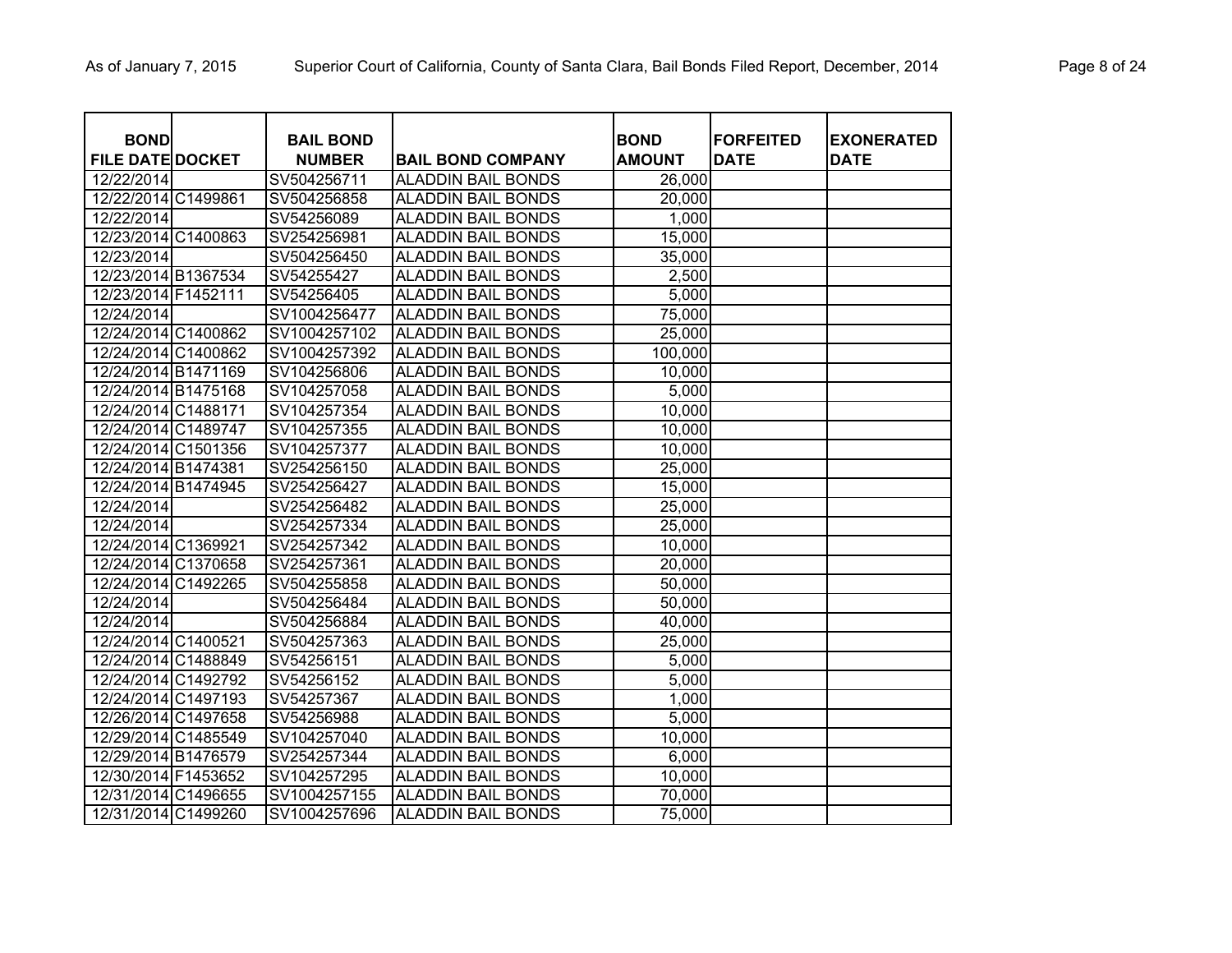| <b>BOND</b>             | <b>BAIL BOND</b> |                           | <b>BOND</b>   | <b>FORFEITED</b> | <b>EXONERATED</b> |
|-------------------------|------------------|---------------------------|---------------|------------------|-------------------|
| <b>FILE DATE DOCKET</b> | <b>NUMBER</b>    | <b>BAIL BOND COMPANY</b>  | <b>AMOUNT</b> | <b>DATE</b>      | <b>DATE</b>       |
| 12/22/2014              | SV504256711      | <b>ALADDIN BAIL BONDS</b> | 26,000        |                  |                   |
| 12/22/2014 C1499861     | SV504256858      | <b>ALADDIN BAIL BONDS</b> | 20,000        |                  |                   |
| 12/22/2014              | SV54256089       | <b>ALADDIN BAIL BONDS</b> | 1,000         |                  |                   |
| 12/23/2014 C1400863     | SV254256981      | <b>ALADDIN BAIL BONDS</b> | 15,000        |                  |                   |
| 12/23/2014              | SV504256450      | <b>ALADDIN BAIL BONDS</b> | 35,000        |                  |                   |
| 12/23/2014 B1367534     | SV54255427       | <b>ALADDIN BAIL BONDS</b> | 2,500         |                  |                   |
| 12/23/2014 F1452111     | SV54256405       | <b>ALADDIN BAIL BONDS</b> | 5,000         |                  |                   |
| 12/24/2014              | SV1004256477     | <b>ALADDIN BAIL BONDS</b> | 75,000        |                  |                   |
| 12/24/2014 C1400862     | SV1004257102     | <b>ALADDIN BAIL BONDS</b> | 25,000        |                  |                   |
| 12/24/2014 C1400862     | SV1004257392     | <b>ALADDIN BAIL BONDS</b> | 100,000       |                  |                   |
| 12/24/2014 B1471169     | SV104256806      | <b>ALADDIN BAIL BONDS</b> | 10,000        |                  |                   |
| 12/24/2014 B1475168     | SV104257058      | <b>ALADDIN BAIL BONDS</b> | 5,000         |                  |                   |
| 12/24/2014 C1488171     | SV104257354      | <b>ALADDIN BAIL BONDS</b> | 10,000        |                  |                   |
| 12/24/2014 C1489747     | SV104257355      | <b>ALADDIN BAIL BONDS</b> | 10,000        |                  |                   |
| 12/24/2014 C1501356     | SV104257377      | <b>ALADDIN BAIL BONDS</b> | 10,000        |                  |                   |
| 12/24/2014 B1474381     | SV254256150      | <b>ALADDIN BAIL BONDS</b> | 25,000        |                  |                   |
| 12/24/2014 B1474945     | SV254256427      | <b>ALADDIN BAIL BONDS</b> | 15,000        |                  |                   |
| 12/24/2014              | SV254256482      | <b>ALADDIN BAIL BONDS</b> | 25,000        |                  |                   |
| 12/24/2014              | SV254257334      | <b>ALADDIN BAIL BONDS</b> | 25,000        |                  |                   |
| 12/24/2014 C1369921     | SV254257342      | <b>ALADDIN BAIL BONDS</b> | 10,000        |                  |                   |
| 12/24/2014 C1370658     | SV254257361      | <b>ALADDIN BAIL BONDS</b> | 20,000        |                  |                   |
| 12/24/2014 C1492265     | SV504255858      | <b>ALADDIN BAIL BONDS</b> | 50,000        |                  |                   |
| 12/24/2014              | SV504256484      | <b>ALADDIN BAIL BONDS</b> | 50,000        |                  |                   |
| 12/24/2014              | SV504256884      | <b>ALADDIN BAIL BONDS</b> | 40,000        |                  |                   |
| 12/24/2014 C1400521     | SV504257363      | <b>ALADDIN BAIL BONDS</b> | 25,000        |                  |                   |
| 12/24/2014 C1488849     | SV54256151       | <b>ALADDIN BAIL BONDS</b> | 5,000         |                  |                   |
| 12/24/2014 C1492792     | SV54256152       | <b>ALADDIN BAIL BONDS</b> | 5,000         |                  |                   |
| 12/24/2014 C1497193     | SV54257367       | <b>ALADDIN BAIL BONDS</b> | 1,000         |                  |                   |
| 12/26/2014 C1497658     | SV54256988       | <b>ALADDIN BAIL BONDS</b> | 5,000         |                  |                   |
| 12/29/2014 C1485549     | SV104257040      | <b>ALADDIN BAIL BONDS</b> | 10,000        |                  |                   |
| 12/29/2014 B1476579     | SV254257344      | <b>ALADDIN BAIL BONDS</b> | 6,000         |                  |                   |
| 12/30/2014 F1453652     | SV104257295      | <b>ALADDIN BAIL BONDS</b> | 10,000        |                  |                   |
| 12/31/2014 C1496655     | SV1004257155     | <b>ALADDIN BAIL BONDS</b> | 70,000        |                  |                   |
| 12/31/2014 C1499260     | SV1004257696     | <b>ALADDIN BAIL BONDS</b> | 75,000        |                  |                   |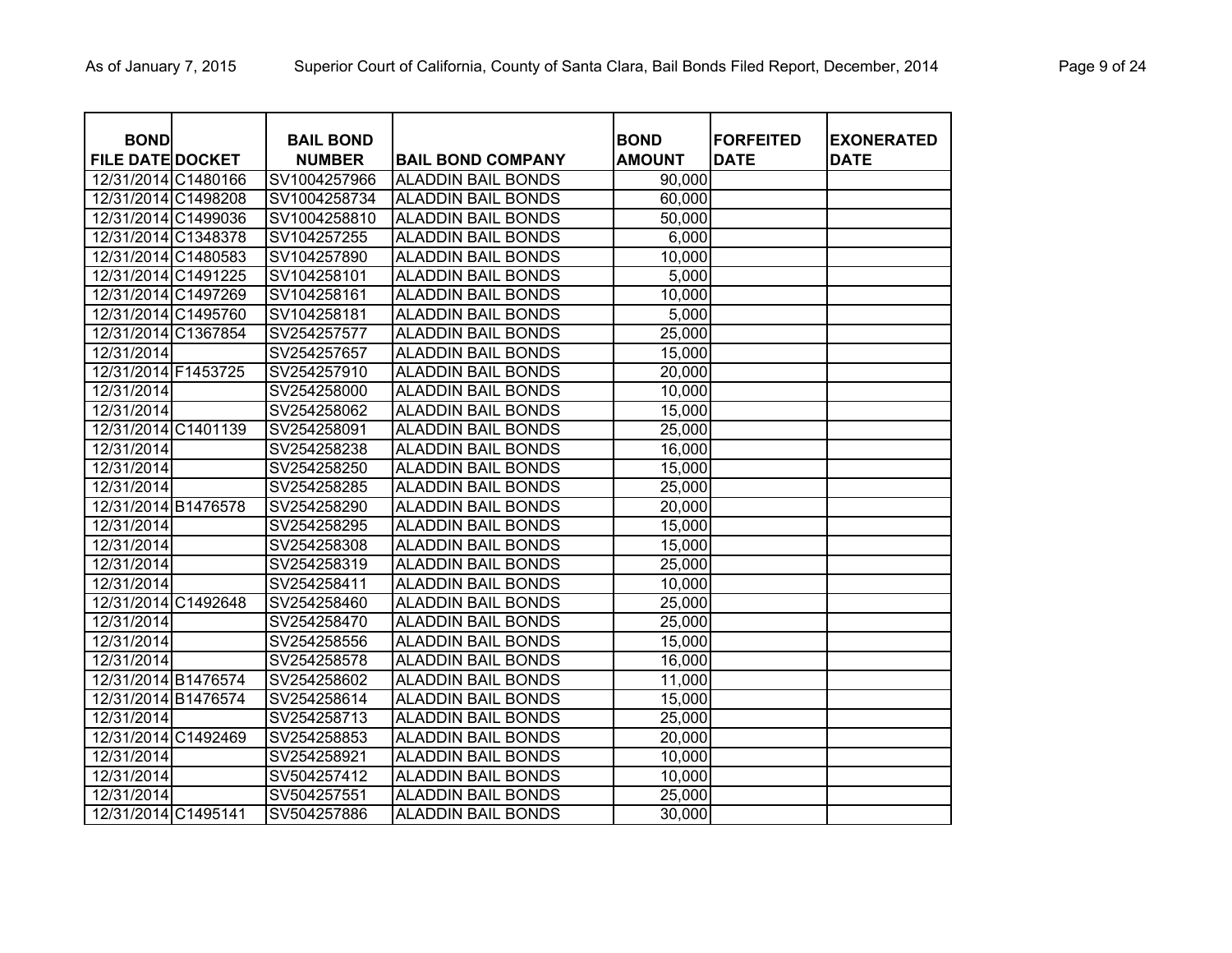| <b>BOND</b>             | <b>BAIL BOND</b> |                           | <b>BOND</b>   | <b>FORFEITED</b> | <b>EXONERATED</b> |
|-------------------------|------------------|---------------------------|---------------|------------------|-------------------|
| <b>FILE DATE DOCKET</b> | <b>NUMBER</b>    | <b>BAIL BOND COMPANY</b>  | <b>AMOUNT</b> | <b>DATE</b>      | <b>DATE</b>       |
| 12/31/2014 C1480166     | SV1004257966     | <b>ALADDIN BAIL BONDS</b> | 90,000        |                  |                   |
| 12/31/2014 C1498208     | SV1004258734     | <b>ALADDIN BAIL BONDS</b> | 60,000        |                  |                   |
| 12/31/2014 C1499036     | SV1004258810     | <b>ALADDIN BAIL BONDS</b> | 50,000        |                  |                   |
| 12/31/2014 C1348378     | SV104257255      | <b>ALADDIN BAIL BONDS</b> | 6,000         |                  |                   |
| 12/31/2014 C1480583     | SV104257890      | <b>ALADDIN BAIL BONDS</b> | 10,000        |                  |                   |
| 12/31/2014 C1491225     | SV104258101      | <b>ALADDIN BAIL BONDS</b> | 5,000         |                  |                   |
| 12/31/2014 C1497269     | SV104258161      | <b>ALADDIN BAIL BONDS</b> | 10,000        |                  |                   |
| 12/31/2014 C1495760     | SV104258181      | <b>ALADDIN BAIL BONDS</b> | 5,000         |                  |                   |
| 12/31/2014 C1367854     | SV254257577      | <b>ALADDIN BAIL BONDS</b> | 25,000        |                  |                   |
| 12/31/2014              | SV254257657      | <b>ALADDIN BAIL BONDS</b> | 15,000        |                  |                   |
| 12/31/2014 F1453725     | SV254257910      | <b>ALADDIN BAIL BONDS</b> | 20,000        |                  |                   |
| 12/31/2014              | SV254258000      | <b>ALADDIN BAIL BONDS</b> | 10,000        |                  |                   |
| 12/31/2014              | SV254258062      | <b>ALADDIN BAIL BONDS</b> | 15,000        |                  |                   |
| 12/31/2014 C1401139     | SV254258091      | <b>ALADDIN BAIL BONDS</b> | 25,000        |                  |                   |
| 12/31/2014              | SV254258238      | <b>ALADDIN BAIL BONDS</b> | 16,000        |                  |                   |
| 12/31/2014              | SV254258250      | <b>ALADDIN BAIL BONDS</b> | 15,000        |                  |                   |
| 12/31/2014              | SV254258285      | <b>ALADDIN BAIL BONDS</b> | 25,000        |                  |                   |
| 12/31/2014 B1476578     | SV254258290      | <b>ALADDIN BAIL BONDS</b> | 20,000        |                  |                   |
| 12/31/2014              | SV254258295      | <b>ALADDIN BAIL BONDS</b> | 15,000        |                  |                   |
| 12/31/2014              | SV254258308      | <b>ALADDIN BAIL BONDS</b> | 15,000        |                  |                   |
| 12/31/2014              | SV254258319      | <b>ALADDIN BAIL BONDS</b> | 25,000        |                  |                   |
| 12/31/2014              | SV254258411      | <b>ALADDIN BAIL BONDS</b> | 10,000        |                  |                   |
| 12/31/2014 C1492648     | SV254258460      | <b>ALADDIN BAIL BONDS</b> | 25,000        |                  |                   |
| 12/31/2014              | SV254258470      | <b>ALADDIN BAIL BONDS</b> | 25,000        |                  |                   |
| 12/31/2014              | SV254258556      | <b>ALADDIN BAIL BONDS</b> | 15,000        |                  |                   |
| 12/31/2014              | SV254258578      | <b>ALADDIN BAIL BONDS</b> | 16,000        |                  |                   |
| 12/31/2014 B1476574     | SV254258602      | <b>ALADDIN BAIL BONDS</b> | 11,000        |                  |                   |
| 12/31/2014 B1476574     | SV254258614      | <b>ALADDIN BAIL BONDS</b> | 15,000        |                  |                   |
| 12/31/2014              | SV254258713      | <b>ALADDIN BAIL BONDS</b> | 25,000        |                  |                   |
| 12/31/2014 C1492469     | SV254258853      | <b>ALADDIN BAIL BONDS</b> | 20,000        |                  |                   |
| 12/31/2014              | SV254258921      | <b>ALADDIN BAIL BONDS</b> | 10,000        |                  |                   |
| 12/31/2014              | SV504257412      | <b>ALADDIN BAIL BONDS</b> | 10,000        |                  |                   |
| 12/31/2014              | SV504257551      | <b>ALADDIN BAIL BONDS</b> | 25,000        |                  |                   |
| 12/31/2014 C1495141     | SV504257886      | <b>ALADDIN BAIL BONDS</b> | 30,000        |                  |                   |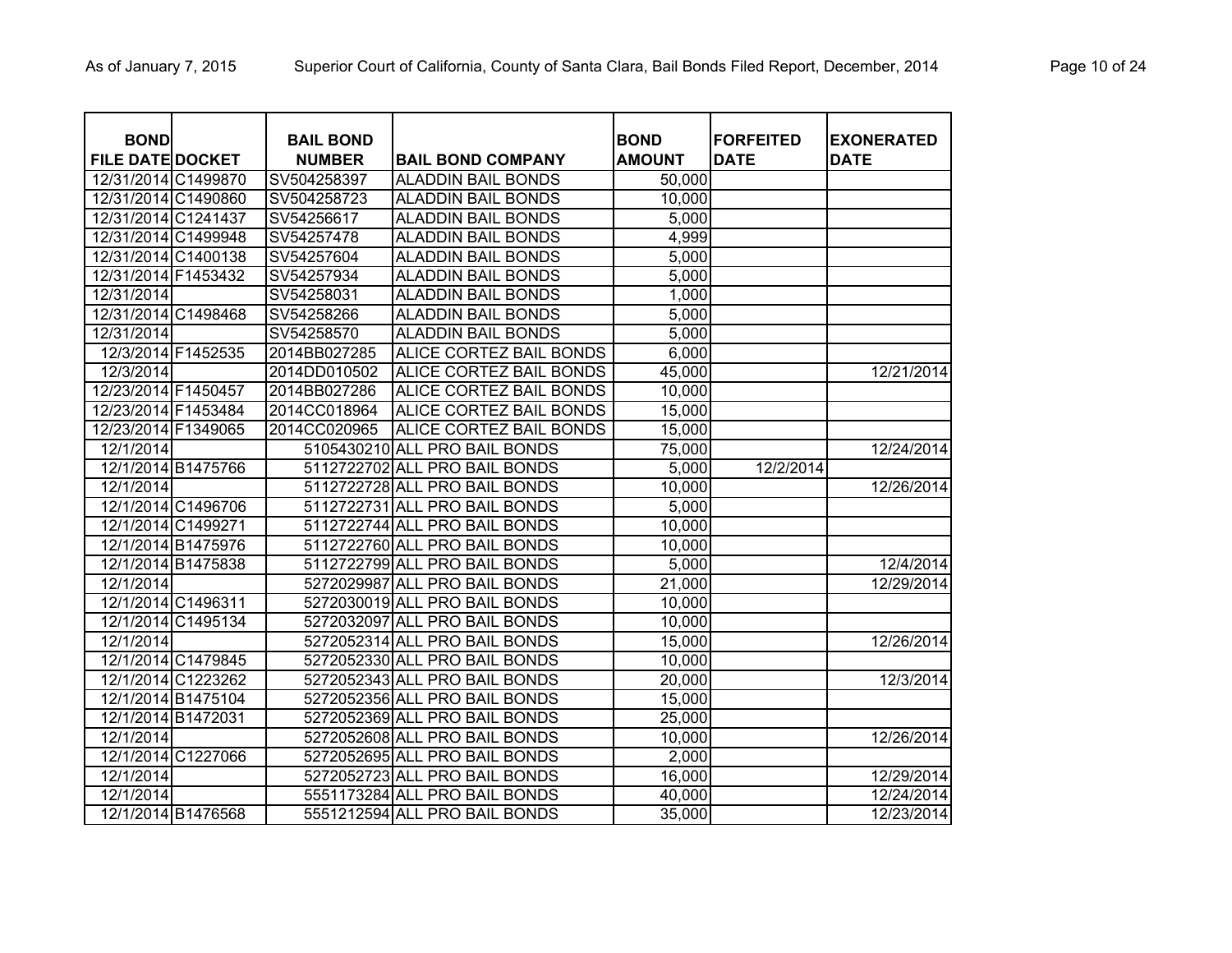| <b>BOND</b><br><b>FILE DATE DOCKET</b> |                    | <b>BAIL BOND</b><br><b>NUMBER</b> | <b>BAIL BOND COMPANY</b>      | <b>BOND</b><br><b>AMOUNT</b> | <b>FORFEITED</b><br><b>DATE</b> | <b>EXONERATED</b><br><b>DATE</b> |
|----------------------------------------|--------------------|-----------------------------------|-------------------------------|------------------------------|---------------------------------|----------------------------------|
| 12/31/2014 C1499870                    |                    | SV504258397                       | <b>ALADDIN BAIL BONDS</b>     | 50,000                       |                                 |                                  |
| 12/31/2014 C1490860                    |                    | SV504258723                       | <b>ALADDIN BAIL BONDS</b>     | 10,000                       |                                 |                                  |
| 12/31/2014 C1241437                    |                    | SV54256617                        | <b>ALADDIN BAIL BONDS</b>     | 5,000                        |                                 |                                  |
| 12/31/2014 C1499948                    |                    | SV54257478                        | <b>ALADDIN BAIL BONDS</b>     | 4,999                        |                                 |                                  |
| 12/31/2014 C1400138                    |                    | SV54257604                        | <b>ALADDIN BAIL BONDS</b>     | 5,000                        |                                 |                                  |
| 12/31/2014 F1453432                    |                    | SV54257934                        | <b>ALADDIN BAIL BONDS</b>     | 5,000                        |                                 |                                  |
| 12/31/2014                             |                    | SV54258031                        | <b>ALADDIN BAIL BONDS</b>     | 1,000                        |                                 |                                  |
| 12/31/2014 C1498468                    |                    | SV54258266                        | <b>ALADDIN BAIL BONDS</b>     | 5,000                        |                                 |                                  |
| 12/31/2014                             |                    | SV54258570                        | <b>ALADDIN BAIL BONDS</b>     | 5,000                        |                                 |                                  |
| 12/3/2014 F1452535                     |                    | 2014BB027285                      | ALICE CORTEZ BAIL BONDS       | 6,000                        |                                 |                                  |
| 12/3/2014                              |                    | 2014DD010502                      | ALICE CORTEZ BAIL BONDS       | 45,000                       |                                 | 12/21/2014                       |
| 12/23/2014 F1450457                    |                    | 2014BB027286                      | ALICE CORTEZ BAIL BONDS       | 10,000                       |                                 |                                  |
| 12/23/2014 F1453484                    |                    | 2014CC018964                      | ALICE CORTEZ BAIL BONDS       | 15,000                       |                                 |                                  |
| 12/23/2014 F1349065                    |                    | 2014CC020965                      | ALICE CORTEZ BAIL BONDS       | 15,000                       |                                 |                                  |
| 12/1/2014                              |                    |                                   | 5105430210 ALL PRO BAIL BONDS | 75,000                       |                                 | 12/24/2014                       |
|                                        | 12/1/2014 B1475766 |                                   | 5112722702 ALL PRO BAIL BONDS | 5,000                        | 12/2/2014                       |                                  |
| 12/1/2014                              |                    |                                   | 5112722728 ALL PRO BAIL BONDS | 10,000                       |                                 | 12/26/2014                       |
|                                        | 12/1/2014 C1496706 |                                   | 5112722731 ALL PRO BAIL BONDS | 5,000                        |                                 |                                  |
|                                        | 12/1/2014 C1499271 |                                   | 5112722744 ALL PRO BAIL BONDS | 10,000                       |                                 |                                  |
|                                        | 12/1/2014 B1475976 |                                   | 5112722760 ALL PRO BAIL BONDS | 10,000                       |                                 |                                  |
|                                        | 12/1/2014 B1475838 |                                   | 5112722799 ALL PRO BAIL BONDS | 5,000                        |                                 | 12/4/2014                        |
| 12/1/2014                              |                    |                                   | 5272029987 ALL PRO BAIL BONDS | 21,000                       |                                 | 12/29/2014                       |
|                                        | 12/1/2014 C1496311 |                                   | 5272030019 ALL PRO BAIL BONDS | 10,000                       |                                 |                                  |
|                                        | 12/1/2014 C1495134 |                                   | 5272032097 ALL PRO BAIL BONDS | 10,000                       |                                 |                                  |
| 12/1/2014                              |                    |                                   | 5272052314 ALL PRO BAIL BONDS | 15,000                       |                                 | 12/26/2014                       |
|                                        | 12/1/2014 C1479845 |                                   | 5272052330 ALL PRO BAIL BONDS | 10,000                       |                                 |                                  |
|                                        | 12/1/2014 C1223262 |                                   | 5272052343 ALL PRO BAIL BONDS | 20,000                       |                                 | 12/3/2014                        |
|                                        | 12/1/2014 B1475104 |                                   | 5272052356 ALL PRO BAIL BONDS | 15,000                       |                                 |                                  |
| 12/1/2014 B1472031                     |                    |                                   | 5272052369 ALL PRO BAIL BONDS | 25,000                       |                                 |                                  |
| 12/1/2014                              |                    |                                   | 5272052608 ALL PRO BAIL BONDS | 10,000                       |                                 | 12/26/2014                       |
|                                        | 12/1/2014 C1227066 |                                   | 5272052695 ALL PRO BAIL BONDS | 2,000                        |                                 |                                  |
| 12/1/2014                              |                    |                                   | 5272052723 ALL PRO BAIL BONDS | 16,000                       |                                 | 12/29/2014                       |
| 12/1/2014                              |                    |                                   | 5551173284 ALL PRO BAIL BONDS | 40,000                       |                                 | 12/24/2014                       |
|                                        | 12/1/2014 B1476568 |                                   | 5551212594 ALL PRO BAIL BONDS | 35,000                       |                                 | 12/23/2014                       |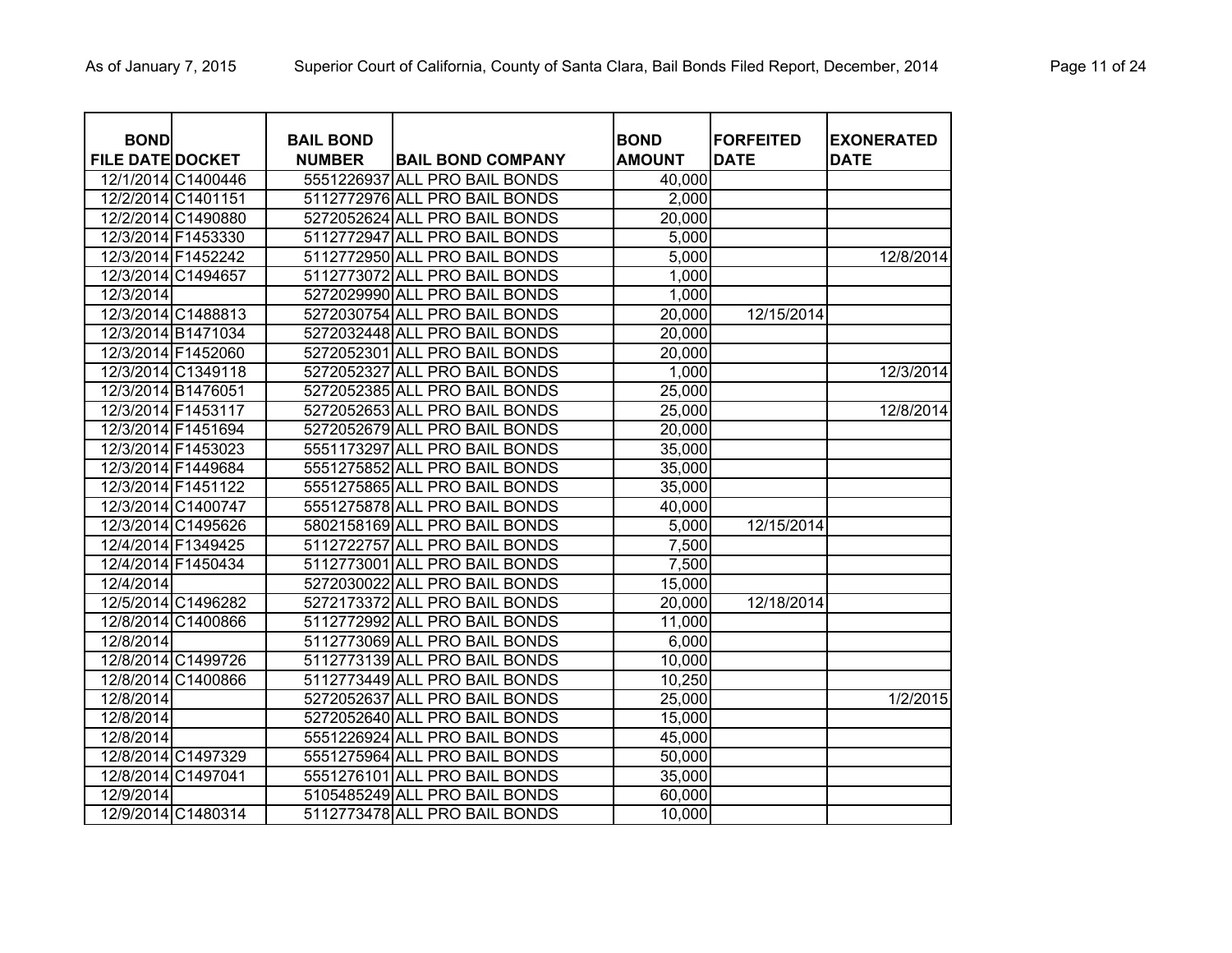| <b>BOND</b>             |                    | <b>BAIL BOND</b> |                               | <b>BOND</b>   | <b>FORFEITED</b> | <b>EXONERATED</b> |
|-------------------------|--------------------|------------------|-------------------------------|---------------|------------------|-------------------|
| <b>FILE DATE DOCKET</b> |                    | <b>NUMBER</b>    | <b>BAIL BOND COMPANY</b>      | <b>AMOUNT</b> | <b>DATE</b>      | <b>DATE</b>       |
|                         | 12/1/2014 C1400446 |                  | 5551226937 ALL PRO BAIL BONDS | 40,000        |                  |                   |
|                         | 12/2/2014 C1401151 |                  | 5112772976 ALL PRO BAIL BONDS | 2,000         |                  |                   |
|                         | 12/2/2014 C1490880 |                  | 5272052624 ALL PRO BAIL BONDS | 20,000        |                  |                   |
|                         | 12/3/2014 F1453330 |                  | 5112772947 ALL PRO BAIL BONDS | 5,000         |                  |                   |
|                         | 12/3/2014 F1452242 |                  | 5112772950 ALL PRO BAIL BONDS | 5,000         |                  | 12/8/2014         |
|                         | 12/3/2014 C1494657 |                  | 5112773072 ALL PRO BAIL BONDS | 1,000         |                  |                   |
| 12/3/2014               |                    |                  | 5272029990 ALL PRO BAIL BONDS | 1,000         |                  |                   |
|                         | 12/3/2014 C1488813 |                  | 5272030754 ALL PRO BAIL BONDS | 20,000        | 12/15/2014       |                   |
|                         | 12/3/2014 B1471034 |                  | 5272032448 ALL PRO BAIL BONDS | 20,000        |                  |                   |
|                         | 12/3/2014 F1452060 |                  | 5272052301 ALL PRO BAIL BONDS | 20,000        |                  |                   |
|                         | 12/3/2014 C1349118 |                  | 5272052327 ALL PRO BAIL BONDS | 1,000         |                  | 12/3/2014         |
| 12/3/2014 B1476051      |                    |                  | 5272052385 ALL PRO BAIL BONDS | 25,000        |                  |                   |
|                         | 12/3/2014 F1453117 |                  | 5272052653 ALL PRO BAIL BONDS | 25,000        |                  | 12/8/2014         |
|                         | 12/3/2014 F1451694 |                  | 5272052679 ALL PRO BAIL BONDS | 20,000        |                  |                   |
|                         | 12/3/2014 F1453023 |                  | 5551173297 ALL PRO BAIL BONDS | 35,000        |                  |                   |
|                         | 12/3/2014 F1449684 |                  | 5551275852 ALL PRO BAIL BONDS | 35,000        |                  |                   |
|                         | 12/3/2014 F1451122 |                  | 5551275865 ALL PRO BAIL BONDS | 35,000        |                  |                   |
|                         | 12/3/2014 C1400747 |                  | 5551275878 ALL PRO BAIL BONDS | 40,000        |                  |                   |
|                         | 12/3/2014 C1495626 |                  | 5802158169 ALL PRO BAIL BONDS | 5,000         | 12/15/2014       |                   |
|                         | 12/4/2014 F1349425 |                  | 5112722757 ALL PRO BAIL BONDS | 7,500         |                  |                   |
|                         | 12/4/2014 F1450434 |                  | 5112773001 ALL PRO BAIL BONDS | 7,500         |                  |                   |
| 12/4/2014               |                    |                  | 5272030022 ALL PRO BAIL BONDS | 15,000        |                  |                   |
|                         | 12/5/2014 C1496282 |                  | 5272173372 ALL PRO BAIL BONDS | 20,000        | 12/18/2014       |                   |
|                         | 12/8/2014 C1400866 |                  | 5112772992 ALL PRO BAIL BONDS | 11,000        |                  |                   |
| 12/8/2014               |                    |                  | 5112773069 ALL PRO BAIL BONDS | 6,000         |                  |                   |
|                         | 12/8/2014 C1499726 |                  | 5112773139 ALL PRO BAIL BONDS | 10,000        |                  |                   |
|                         | 12/8/2014 C1400866 |                  | 5112773449 ALL PRO BAIL BONDS | 10,250        |                  |                   |
| 12/8/2014               |                    |                  | 5272052637 ALL PRO BAIL BONDS | 25,000        |                  | 1/2/2015          |
| 12/8/2014               |                    |                  | 5272052640 ALL PRO BAIL BONDS | 15,000        |                  |                   |
| 12/8/2014               |                    |                  | 5551226924 ALL PRO BAIL BONDS | 45,000        |                  |                   |
|                         | 12/8/2014 C1497329 |                  | 5551275964 ALL PRO BAIL BONDS | 50,000        |                  |                   |
|                         | 12/8/2014 C1497041 |                  | 5551276101 ALL PRO BAIL BONDS | 35,000        |                  |                   |
| 12/9/2014               |                    |                  | 5105485249 ALL PRO BAIL BONDS | 60,000        |                  |                   |
|                         | 12/9/2014 C1480314 |                  | 5112773478 ALL PRO BAIL BONDS | 10,000        |                  |                   |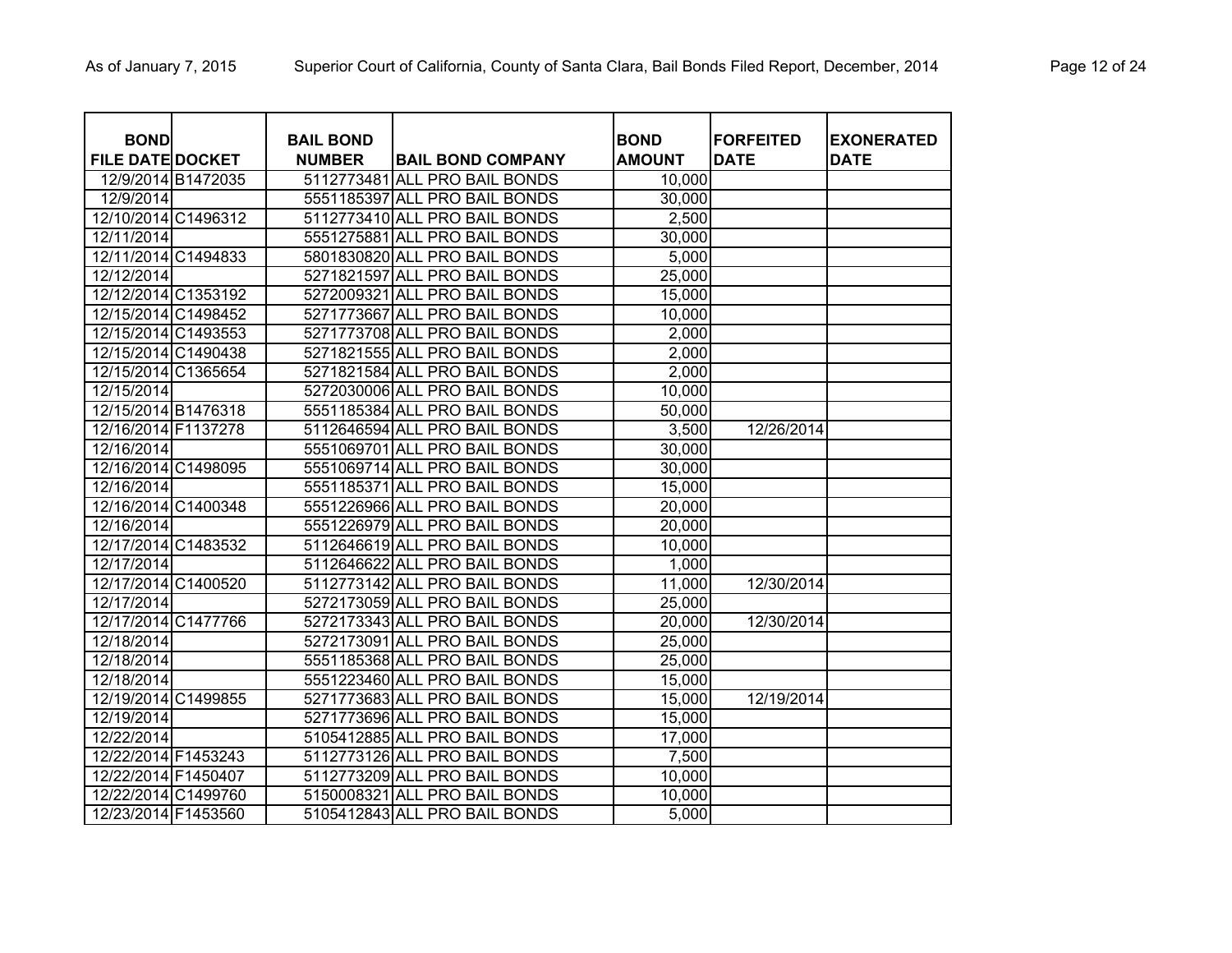| <b>BOND</b>             |                    | <b>BAIL BOND</b> |                               | <b>BOND</b>   | <b>FORFEITED</b> | <b>EXONERATED</b> |
|-------------------------|--------------------|------------------|-------------------------------|---------------|------------------|-------------------|
| <b>FILE DATE DOCKET</b> |                    | <b>NUMBER</b>    | <b>BAIL BOND COMPANY</b>      | <b>AMOUNT</b> | <b>DATE</b>      | <b>DATE</b>       |
|                         | 12/9/2014 B1472035 |                  | 5112773481 ALL PRO BAIL BONDS | 10,000        |                  |                   |
| 12/9/2014               |                    |                  | 5551185397 ALL PRO BAIL BONDS | 30,000        |                  |                   |
| 12/10/2014 C1496312     |                    |                  | 5112773410 ALL PRO BAIL BONDS | 2,500         |                  |                   |
| 12/11/2014              |                    |                  | 5551275881 ALL PRO BAIL BONDS | 30,000        |                  |                   |
| 12/11/2014 C1494833     |                    |                  | 5801830820 ALL PRO BAIL BONDS | 5,000         |                  |                   |
| 12/12/2014              |                    |                  | 5271821597 ALL PRO BAIL BONDS | 25,000        |                  |                   |
| 12/12/2014 C1353192     |                    |                  | 5272009321 ALL PRO BAIL BONDS | 15,000        |                  |                   |
| 12/15/2014 C1498452     |                    |                  | 5271773667 ALL PRO BAIL BONDS | 10,000        |                  |                   |
| 12/15/2014 C1493553     |                    |                  | 5271773708 ALL PRO BAIL BONDS | 2,000         |                  |                   |
| 12/15/2014 C1490438     |                    |                  | 5271821555 ALL PRO BAIL BONDS | 2,000         |                  |                   |
| 12/15/2014 C1365654     |                    |                  | 5271821584 ALL PRO BAIL BONDS | 2,000         |                  |                   |
| 12/15/2014              |                    |                  | 5272030006 ALL PRO BAIL BONDS | 10,000        |                  |                   |
| 12/15/2014 B1476318     |                    |                  | 5551185384 ALL PRO BAIL BONDS | 50,000        |                  |                   |
| 12/16/2014 F1137278     |                    |                  | 5112646594 ALL PRO BAIL BONDS | 3,500         | 12/26/2014       |                   |
| 12/16/2014              |                    |                  | 5551069701 ALL PRO BAIL BONDS | 30,000        |                  |                   |
| 12/16/2014 C1498095     |                    |                  | 5551069714 ALL PRO BAIL BONDS | 30,000        |                  |                   |
| 12/16/2014              |                    |                  | 5551185371 ALL PRO BAIL BONDS | 15,000        |                  |                   |
| 12/16/2014 C1400348     |                    |                  | 5551226966 ALL PRO BAIL BONDS | 20,000        |                  |                   |
| 12/16/2014              |                    |                  | 5551226979 ALL PRO BAIL BONDS | 20,000        |                  |                   |
| 12/17/2014 C1483532     |                    |                  | 5112646619 ALL PRO BAIL BONDS | 10,000        |                  |                   |
| 12/17/2014              |                    |                  | 5112646622 ALL PRO BAIL BONDS | 1,000         |                  |                   |
| 12/17/2014 C1400520     |                    |                  | 5112773142 ALL PRO BAIL BONDS | 11,000        | 12/30/2014       |                   |
| 12/17/2014              |                    |                  | 5272173059 ALL PRO BAIL BONDS | 25,000        |                  |                   |
| 12/17/2014 C1477766     |                    |                  | 5272173343 ALL PRO BAIL BONDS | 20,000        | 12/30/2014       |                   |
| 12/18/2014              |                    |                  | 5272173091 ALL PRO BAIL BONDS | 25,000        |                  |                   |
| 12/18/2014              |                    |                  | 5551185368 ALL PRO BAIL BONDS | 25,000        |                  |                   |
| 12/18/2014              |                    |                  | 5551223460 ALL PRO BAIL BONDS | 15,000        |                  |                   |
| 12/19/2014 C1499855     |                    |                  | 5271773683 ALL PRO BAIL BONDS | 15,000        | 12/19/2014       |                   |
| 12/19/2014              |                    |                  | 5271773696 ALL PRO BAIL BONDS | 15,000        |                  |                   |
| 12/22/2014              |                    |                  | 5105412885 ALL PRO BAIL BONDS | 17,000        |                  |                   |
| 12/22/2014 F1453243     |                    |                  | 5112773126 ALL PRO BAIL BONDS | 7,500         |                  |                   |
| 12/22/2014 F1450407     |                    |                  | 5112773209 ALL PRO BAIL BONDS | 10,000        |                  |                   |
| 12/22/2014 C1499760     |                    |                  | 5150008321 ALL PRO BAIL BONDS | 10,000        |                  |                   |
| 12/23/2014 F1453560     |                    |                  | 5105412843 ALL PRO BAIL BONDS | 5,000         |                  |                   |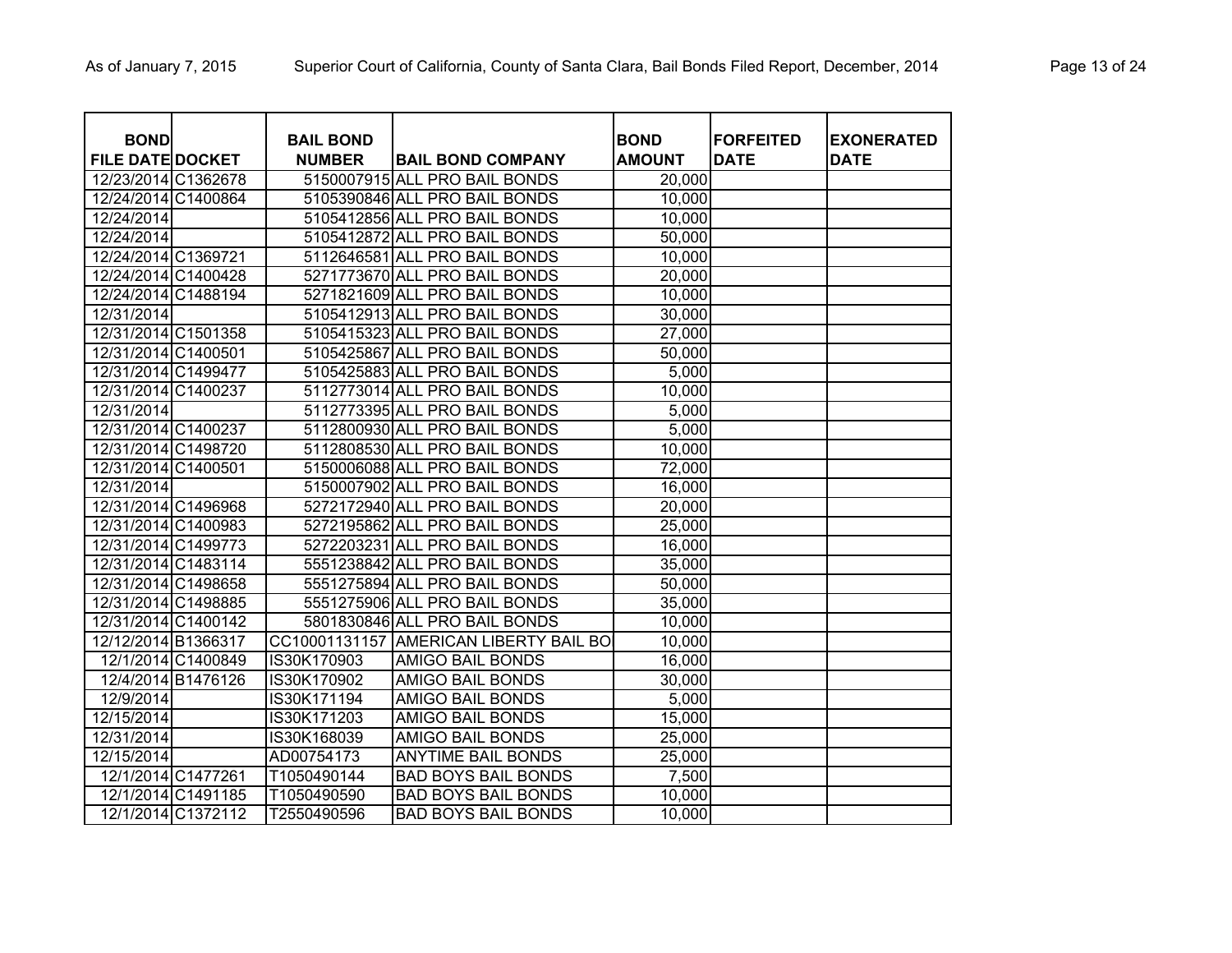| <b>BOND</b>             |                    | <b>BAIL BOND</b> |                                        | <b>BOND</b>   | <b>FORFEITED</b> | <b>EXONERATED</b> |
|-------------------------|--------------------|------------------|----------------------------------------|---------------|------------------|-------------------|
| <b>FILE DATE DOCKET</b> |                    | <b>NUMBER</b>    | <b>BAIL BOND COMPANY</b>               | <b>AMOUNT</b> | <b>DATE</b>      | <b>DATE</b>       |
| 12/23/2014 C1362678     |                    |                  | 5150007915 ALL PRO BAIL BONDS          | 20,000        |                  |                   |
| 12/24/2014 C1400864     |                    |                  | 5105390846 ALL PRO BAIL BONDS          | 10,000        |                  |                   |
| 12/24/2014              |                    |                  | 5105412856 ALL PRO BAIL BONDS          | 10,000        |                  |                   |
| 12/24/2014              |                    |                  | 5105412872 ALL PRO BAIL BONDS          | 50,000        |                  |                   |
| 12/24/2014 C1369721     |                    |                  | 5112646581 ALL PRO BAIL BONDS          | 10,000        |                  |                   |
| 12/24/2014 C1400428     |                    |                  | 5271773670 ALL PRO BAIL BONDS          | 20,000        |                  |                   |
| 12/24/2014 C1488194     |                    |                  | 5271821609 ALL PRO BAIL BONDS          | 10,000        |                  |                   |
| 12/31/2014              |                    |                  | 5105412913 ALL PRO BAIL BONDS          | 30,000        |                  |                   |
| 12/31/2014 C1501358     |                    |                  | 5105415323 ALL PRO BAIL BONDS          | 27,000        |                  |                   |
| 12/31/2014 C1400501     |                    |                  | 5105425867 ALL PRO BAIL BONDS          | 50,000        |                  |                   |
| 12/31/2014 C1499477     |                    |                  | 5105425883 ALL PRO BAIL BONDS          | 5,000         |                  |                   |
| 12/31/2014 C1400237     |                    |                  | 5112773014 ALL PRO BAIL BONDS          | 10,000        |                  |                   |
| 12/31/2014              |                    |                  | 5112773395 ALL PRO BAIL BONDS          | 5,000         |                  |                   |
| 12/31/2014 C1400237     |                    |                  | 5112800930 ALL PRO BAIL BONDS          | 5,000         |                  |                   |
| 12/31/2014 C1498720     |                    |                  | 5112808530 ALL PRO BAIL BONDS          | 10,000        |                  |                   |
| 12/31/2014 C1400501     |                    |                  | 5150006088 ALL PRO BAIL BONDS          | 72,000        |                  |                   |
| 12/31/2014              |                    |                  | 5150007902 ALL PRO BAIL BONDS          | 16,000        |                  |                   |
| 12/31/2014 C1496968     |                    |                  | 5272172940 ALL PRO BAIL BONDS          | 20,000        |                  |                   |
| 12/31/2014 C1400983     |                    |                  | 5272195862 ALL PRO BAIL BONDS          | 25,000        |                  |                   |
| 12/31/2014 C1499773     |                    |                  | 5272203231 ALL PRO BAIL BONDS          | 16,000        |                  |                   |
| 12/31/2014 C1483114     |                    |                  | 5551238842 ALL PRO BAIL BONDS          | 35,000        |                  |                   |
| 12/31/2014 C1498658     |                    |                  | 5551275894 ALL PRO BAIL BONDS          | 50,000        |                  |                   |
| 12/31/2014 C1498885     |                    |                  | 5551275906 ALL PRO BAIL BONDS          | 35,000        |                  |                   |
| 12/31/2014 C1400142     |                    |                  | 5801830846 ALL PRO BAIL BONDS          | 10,000        |                  |                   |
| 12/12/2014 B1366317     |                    |                  | CC10001131157 AMERICAN LIBERTY BAIL BO | 10,000        |                  |                   |
|                         | 12/1/2014 C1400849 | IS30K170903      | <b>AMIGO BAIL BONDS</b>                | 16,000        |                  |                   |
|                         | 12/4/2014 B1476126 | IS30K170902      | <b>AMIGO BAIL BONDS</b>                | 30,000        |                  |                   |
| 12/9/2014               |                    | IS30K171194      | <b>AMIGO BAIL BONDS</b>                | 5,000         |                  |                   |
| 12/15/2014              |                    | IS30K171203      | <b>AMIGO BAIL BONDS</b>                | 15,000        |                  |                   |
| 12/31/2014              |                    | IS30K168039      | AMIGO BAIL BONDS                       | 25,000        |                  |                   |
| 12/15/2014              |                    | AD00754173       | <b>ANYTIME BAIL BONDS</b>              | 25,000        |                  |                   |
|                         | 12/1/2014 C1477261 | T1050490144      | <b>BAD BOYS BAIL BONDS</b>             | 7,500         |                  |                   |
|                         | 12/1/2014 C1491185 | T1050490590      | <b>BAD BOYS BAIL BONDS</b>             | 10,000        |                  |                   |
|                         | 12/1/2014 C1372112 | T2550490596      | <b>BAD BOYS BAIL BONDS</b>             | 10,000        |                  |                   |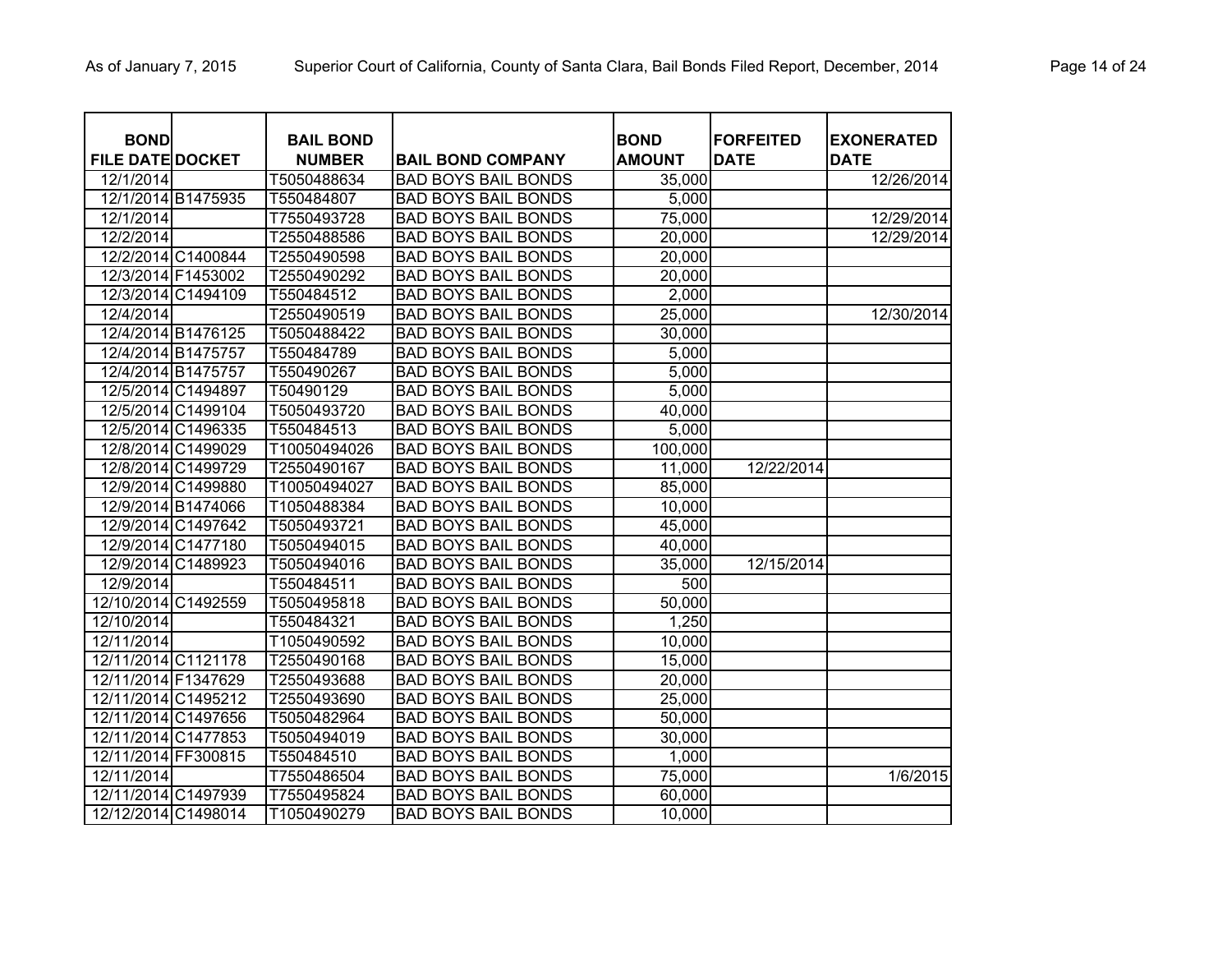| <b>BOND</b>             |                    | <b>BAIL BOND</b> |                            | <b>BOND</b>   | <b>FORFEITED</b> | <b>EXONERATED</b> |
|-------------------------|--------------------|------------------|----------------------------|---------------|------------------|-------------------|
| <b>FILE DATE DOCKET</b> |                    | <b>NUMBER</b>    | <b>BAIL BOND COMPANY</b>   | <b>AMOUNT</b> | <b>DATE</b>      | <b>DATE</b>       |
| 12/1/2014               |                    | T5050488634      | <b>BAD BOYS BAIL BONDS</b> | 35,000        |                  | 12/26/2014        |
|                         | 12/1/2014 B1475935 | T550484807       | <b>BAD BOYS BAIL BONDS</b> | 5,000         |                  |                   |
| 12/1/2014               |                    | T7550493728      | <b>BAD BOYS BAIL BONDS</b> | 75,000        |                  | 12/29/2014        |
| 12/2/2014               |                    | T2550488586      | <b>BAD BOYS BAIL BONDS</b> | 20,000        |                  | 12/29/2014        |
|                         | 12/2/2014 C1400844 | T2550490598      | <b>BAD BOYS BAIL BONDS</b> | 20,000        |                  |                   |
| 12/3/2014 F1453002      |                    | T2550490292      | <b>BAD BOYS BAIL BONDS</b> | 20,000        |                  |                   |
|                         | 12/3/2014 C1494109 | T550484512       | <b>BAD BOYS BAIL BONDS</b> | 2,000         |                  |                   |
| 12/4/2014               |                    | T2550490519      | <b>BAD BOYS BAIL BONDS</b> | 25,000        |                  | 12/30/2014        |
|                         | 12/4/2014 B1476125 | T5050488422      | <b>BAD BOYS BAIL BONDS</b> | 30,000        |                  |                   |
| 12/4/2014 B1475757      |                    | T550484789       | <b>BAD BOYS BAIL BONDS</b> | 5,000         |                  |                   |
| 12/4/2014 B1475757      |                    | T550490267       | <b>BAD BOYS BAIL BONDS</b> | 5,000         |                  |                   |
|                         | 12/5/2014 C1494897 | T50490129        | <b>BAD BOYS BAIL BONDS</b> | 5,000         |                  |                   |
|                         | 12/5/2014 C1499104 | T5050493720      | <b>BAD BOYS BAIL BONDS</b> | 40,000        |                  |                   |
|                         | 12/5/2014 C1496335 | T550484513       | <b>BAD BOYS BAIL BONDS</b> | 5,000         |                  |                   |
|                         | 12/8/2014 C1499029 | T10050494026     | <b>BAD BOYS BAIL BONDS</b> | 100,000       |                  |                   |
|                         | 12/8/2014 C1499729 | T2550490167      | <b>BAD BOYS BAIL BONDS</b> | 11,000        | 12/22/2014       |                   |
|                         | 12/9/2014 C1499880 | T10050494027     | <b>BAD BOYS BAIL BONDS</b> | 85,000        |                  |                   |
|                         | 12/9/2014 B1474066 | T1050488384      | <b>BAD BOYS BAIL BONDS</b> | 10,000        |                  |                   |
|                         | 12/9/2014 C1497642 | T5050493721      | <b>BAD BOYS BAIL BONDS</b> | 45,000        |                  |                   |
|                         | 12/9/2014 C1477180 | T5050494015      | <b>BAD BOYS BAIL BONDS</b> | 40,000        |                  |                   |
|                         | 12/9/2014 C1489923 | T5050494016      | <b>BAD BOYS BAIL BONDS</b> | 35,000        | 12/15/2014       |                   |
| 12/9/2014               |                    | T550484511       | <b>BAD BOYS BAIL BONDS</b> | 500           |                  |                   |
| 12/10/2014 C1492559     |                    | T5050495818      | <b>BAD BOYS BAIL BONDS</b> | 50,000        |                  |                   |
| 12/10/2014              |                    | T550484321       | <b>BAD BOYS BAIL BONDS</b> | 1,250         |                  |                   |
| 12/11/2014              |                    | T1050490592      | <b>BAD BOYS BAIL BONDS</b> | 10,000        |                  |                   |
| 12/11/2014 C1121178     |                    | T2550490168      | <b>BAD BOYS BAIL BONDS</b> | 15,000        |                  |                   |
| 12/11/2014 F1347629     |                    | T2550493688      | <b>BAD BOYS BAIL BONDS</b> | 20,000        |                  |                   |
| 12/11/2014 C1495212     |                    | T2550493690      | <b>BAD BOYS BAIL BONDS</b> | 25,000        |                  |                   |
| 12/11/2014 C1497656     |                    | T5050482964      | <b>BAD BOYS BAIL BONDS</b> | 50,000        |                  |                   |
| 12/11/2014 C1477853     |                    | T5050494019      | <b>BAD BOYS BAIL BONDS</b> | 30,000        |                  |                   |
| 12/11/2014 FF300815     |                    | T550484510       | <b>BAD BOYS BAIL BONDS</b> | 1,000         |                  |                   |
| 12/11/2014              |                    | T7550486504      | <b>BAD BOYS BAIL BONDS</b> | 75,000        |                  | 1/6/2015          |
| 12/11/2014 C1497939     |                    | T7550495824      | <b>BAD BOYS BAIL BONDS</b> | 60,000        |                  |                   |
| 12/12/2014 C1498014     |                    | T1050490279      | <b>BAD BOYS BAIL BONDS</b> | 10,000        |                  |                   |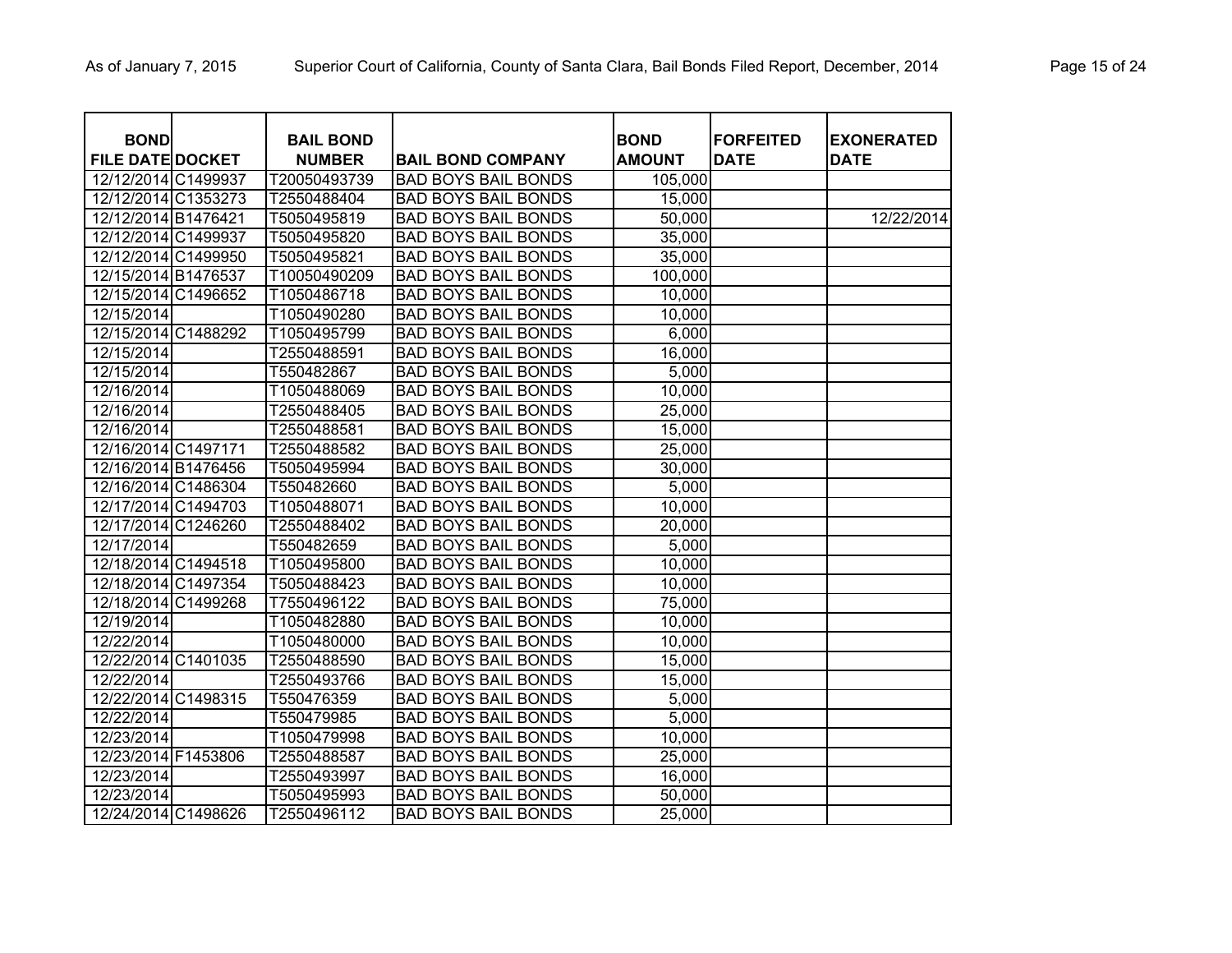| <b>BOND</b>                                    | <b>BAIL BOND</b>            |                                                          | <b>BOND</b>      | <b>FORFEITED</b> | <b>EXONERATED</b> |
|------------------------------------------------|-----------------------------|----------------------------------------------------------|------------------|------------------|-------------------|
| <b>FILE DATE DOCKET</b><br>12/12/2014 C1499937 | <b>NUMBER</b>               | <b>BAIL BOND COMPANY</b>                                 | <b>AMOUNT</b>    | <b>DATE</b>      | <b>DATE</b>       |
| 12/12/2014 C1353273                            | T20050493739<br>T2550488404 | <b>BAD BOYS BAIL BONDS</b><br><b>BAD BOYS BAIL BONDS</b> | 105,000          |                  |                   |
| 12/12/2014 B1476421                            | T5050495819                 | <b>BAD BOYS BAIL BONDS</b>                               | 15,000<br>50,000 |                  | 12/22/2014        |
| 12/12/2014 C1499937                            | T5050495820                 | <b>BAD BOYS BAIL BONDS</b>                               |                  |                  |                   |
| 12/12/2014 C1499950                            | T5050495821                 | <b>BAD BOYS BAIL BONDS</b>                               | 35,000           |                  |                   |
| 12/15/2014 B1476537                            |                             |                                                          | 35,000           |                  |                   |
| 12/15/2014 C1496652                            | T10050490209                | <b>BAD BOYS BAIL BONDS</b>                               | 100,000          |                  |                   |
|                                                | T1050486718                 | <b>BAD BOYS BAIL BONDS</b>                               | 10,000           |                  |                   |
| 12/15/2014                                     | T1050490280                 | <b>BAD BOYS BAIL BONDS</b>                               | 10,000           |                  |                   |
| 12/15/2014 C1488292                            | T1050495799                 | <b>BAD BOYS BAIL BONDS</b>                               | 6,000            |                  |                   |
| 12/15/2014                                     | T2550488591                 | <b>BAD BOYS BAIL BONDS</b>                               | 16,000           |                  |                   |
| 12/15/2014                                     | T550482867                  | <b>BAD BOYS BAIL BONDS</b>                               | 5,000            |                  |                   |
| 12/16/2014                                     | T1050488069                 | <b>BAD BOYS BAIL BONDS</b>                               | 10,000           |                  |                   |
| 12/16/2014                                     | T2550488405                 | <b>BAD BOYS BAIL BONDS</b>                               | 25,000           |                  |                   |
| 12/16/2014                                     | T2550488581                 | <b>BAD BOYS BAIL BONDS</b>                               | 15,000           |                  |                   |
| 12/16/2014 C1497171                            | T2550488582                 | <b>BAD BOYS BAIL BONDS</b>                               | 25,000           |                  |                   |
| 12/16/2014 B1476456                            | T5050495994                 | <b>BAD BOYS BAIL BONDS</b>                               | 30,000           |                  |                   |
| 12/16/2014 C1486304                            | T550482660                  | <b>BAD BOYS BAIL BONDS</b>                               | 5,000            |                  |                   |
| 12/17/2014 C1494703                            | T1050488071                 | <b>BAD BOYS BAIL BONDS</b>                               | 10,000           |                  |                   |
| 12/17/2014 C1246260                            | T2550488402                 | <b>BAD BOYS BAIL BONDS</b>                               | 20,000           |                  |                   |
| 12/17/2014                                     | T550482659                  | <b>BAD BOYS BAIL BONDS</b>                               | 5,000            |                  |                   |
| 12/18/2014 C1494518                            | T1050495800                 | <b>BAD BOYS BAIL BONDS</b>                               | 10,000           |                  |                   |
| 12/18/2014 C1497354                            | T5050488423                 | <b>BAD BOYS BAIL BONDS</b>                               | 10,000           |                  |                   |
| 12/18/2014 C1499268                            | T7550496122                 | <b>BAD BOYS BAIL BONDS</b>                               | 75,000           |                  |                   |
| 12/19/2014                                     | T1050482880                 | <b>BAD BOYS BAIL BONDS</b>                               | 10,000           |                  |                   |
| 12/22/2014                                     | T1050480000                 | <b>BAD BOYS BAIL BONDS</b>                               | 10,000           |                  |                   |
| 12/22/2014 C1401035                            | T2550488590                 | <b>BAD BOYS BAIL BONDS</b>                               | 15,000           |                  |                   |
| 12/22/2014                                     | T2550493766                 | <b>BAD BOYS BAIL BONDS</b>                               | 15,000           |                  |                   |
| 12/22/2014 C1498315                            | T550476359                  | <b>BAD BOYS BAIL BONDS</b>                               | 5,000            |                  |                   |
| 12/22/2014                                     | T550479985                  | <b>BAD BOYS BAIL BONDS</b>                               | 5,000            |                  |                   |
| 12/23/2014                                     | T1050479998                 | <b>BAD BOYS BAIL BONDS</b>                               | 10,000           |                  |                   |
| 12/23/2014 F1453806                            | T2550488587                 | <b>BAD BOYS BAIL BONDS</b>                               | 25,000           |                  |                   |
| 12/23/2014                                     | T2550493997                 | <b>BAD BOYS BAIL BONDS</b>                               | 16,000           |                  |                   |
| 12/23/2014                                     | T5050495993                 | <b>BAD BOYS BAIL BONDS</b>                               | 50,000           |                  |                   |
| 12/24/2014 C1498626                            | T2550496112                 | <b>BAD BOYS BAIL BONDS</b>                               | 25,000           |                  |                   |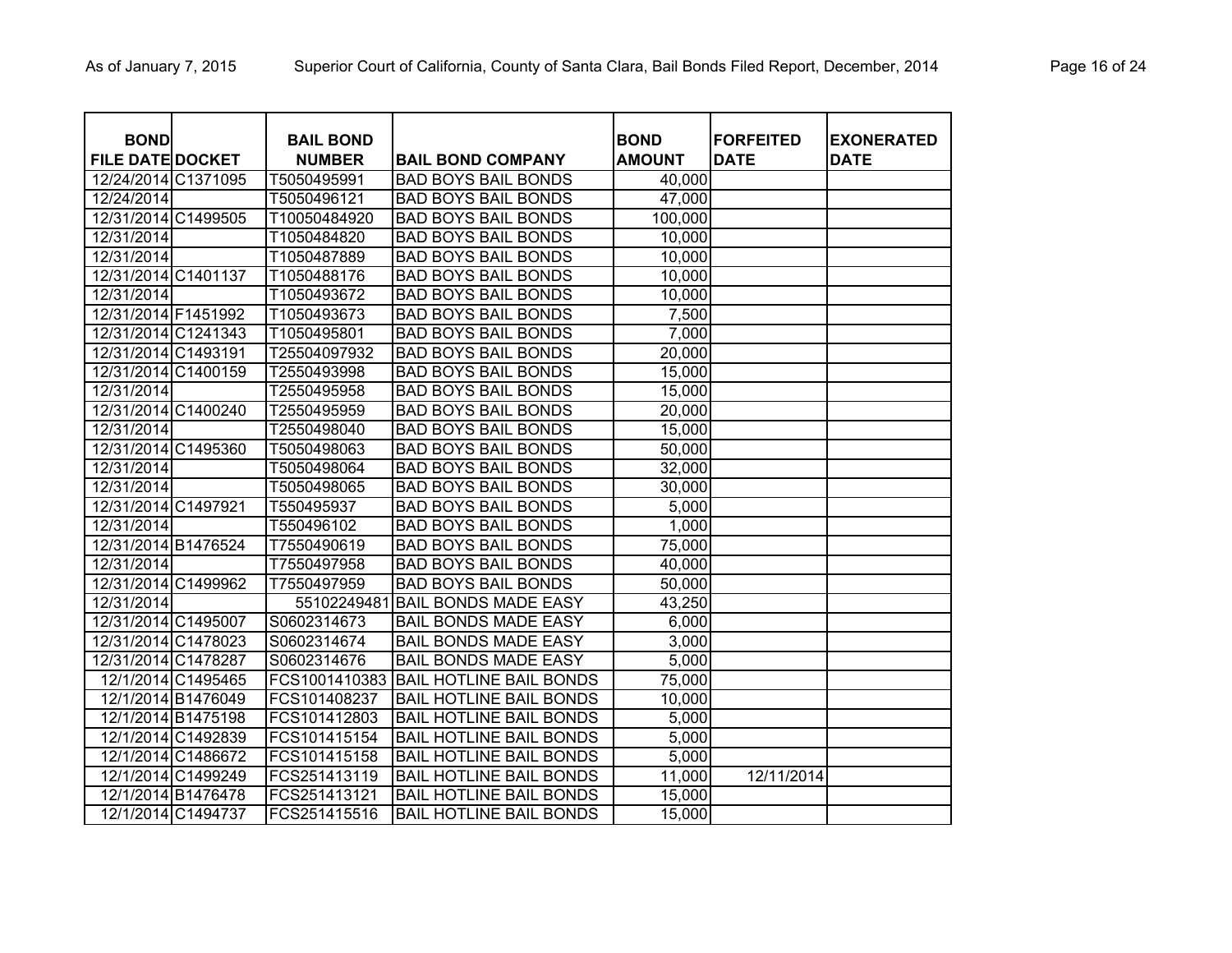| <b>BOND</b>             |                    | <b>BAIL BOND</b> |                                | <b>BOND</b>   | <b>FORFEITED</b> | <b>EXONERATED</b> |
|-------------------------|--------------------|------------------|--------------------------------|---------------|------------------|-------------------|
| <b>FILE DATE DOCKET</b> |                    | <b>NUMBER</b>    | <b>BAIL BOND COMPANY</b>       | <b>AMOUNT</b> | <b>DATE</b>      | <b>DATE</b>       |
| 12/24/2014 C1371095     |                    | T5050495991      | <b>BAD BOYS BAIL BONDS</b>     | 40,000        |                  |                   |
| 12/24/2014              |                    | T5050496121      | <b>BAD BOYS BAIL BONDS</b>     | 47,000        |                  |                   |
| 12/31/2014 C1499505     |                    | T10050484920     | <b>BAD BOYS BAIL BONDS</b>     | 100,000       |                  |                   |
| 12/31/2014              |                    | T1050484820      | <b>BAD BOYS BAIL BONDS</b>     | 10,000        |                  |                   |
| 12/31/2014              |                    | T1050487889      | <b>BAD BOYS BAIL BONDS</b>     | 10,000        |                  |                   |
| 12/31/2014 C1401137     |                    | T1050488176      | <b>BAD BOYS BAIL BONDS</b>     | 10,000        |                  |                   |
| 12/31/2014              |                    | T1050493672      | <b>BAD BOYS BAIL BONDS</b>     | 10,000        |                  |                   |
| 12/31/2014 F1451992     |                    | T1050493673      | <b>BAD BOYS BAIL BONDS</b>     | 7,500         |                  |                   |
| 12/31/2014 C1241343     |                    | T1050495801      | <b>BAD BOYS BAIL BONDS</b>     | 7,000         |                  |                   |
| 12/31/2014 C1493191     |                    | T25504097932     | <b>BAD BOYS BAIL BONDS</b>     | 20,000        |                  |                   |
| 12/31/2014 C1400159     |                    | T2550493998      | <b>BAD BOYS BAIL BONDS</b>     | 15,000        |                  |                   |
| 12/31/2014              |                    | T2550495958      | <b>BAD BOYS BAIL BONDS</b>     | 15,000        |                  |                   |
| 12/31/2014 C1400240     |                    | T2550495959      | <b>BAD BOYS BAIL BONDS</b>     | 20,000        |                  |                   |
| 12/31/2014              |                    | T2550498040      | <b>BAD BOYS BAIL BONDS</b>     | 15,000        |                  |                   |
| 12/31/2014 C1495360     |                    | T5050498063      | <b>BAD BOYS BAIL BONDS</b>     | 50,000        |                  |                   |
| 12/31/2014              |                    | T5050498064      | <b>BAD BOYS BAIL BONDS</b>     | 32,000        |                  |                   |
| 12/31/2014              |                    | T5050498065      | <b>BAD BOYS BAIL BONDS</b>     | 30,000        |                  |                   |
| 12/31/2014 C1497921     |                    | T550495937       | <b>BAD BOYS BAIL BONDS</b>     | 5,000         |                  |                   |
| 12/31/2014              |                    | T550496102       | <b>BAD BOYS BAIL BONDS</b>     | 1,000         |                  |                   |
| 12/31/2014 B1476524     |                    | T7550490619      | <b>BAD BOYS BAIL BONDS</b>     | 75,000        |                  |                   |
| 12/31/2014              |                    | T7550497958      | <b>BAD BOYS BAIL BONDS</b>     | 40,000        |                  |                   |
| 12/31/2014 C1499962     |                    | T7550497959      | <b>BAD BOYS BAIL BONDS</b>     | 50,000        |                  |                   |
| 12/31/2014              |                    | 55102249481      | <b>BAIL BONDS MADE EASY</b>    | 43,250        |                  |                   |
| 12/31/2014 C1495007     |                    | S0602314673      | <b>BAIL BONDS MADE EASY</b>    | 6,000         |                  |                   |
| 12/31/2014 C1478023     |                    | S0602314674      | <b>BAIL BONDS MADE EASY</b>    | 3,000         |                  |                   |
| 12/31/2014 C1478287     |                    | S0602314676      | <b>BAIL BONDS MADE EASY</b>    | 5,000         |                  |                   |
|                         | 12/1/2014 C1495465 | FCS1001410383    | <b>BAIL HOTLINE BAIL BONDS</b> | 75,000        |                  |                   |
|                         | 12/1/2014 B1476049 | FCS101408237     | <b>BAIL HOTLINE BAIL BONDS</b> | 10,000        |                  |                   |
|                         | 12/1/2014 B1475198 | FCS101412803     | <b>BAIL HOTLINE BAIL BONDS</b> | 5,000         |                  |                   |
|                         | 12/1/2014 C1492839 | FCS101415154     | <b>BAIL HOTLINE BAIL BONDS</b> | 5,000         |                  |                   |
|                         | 12/1/2014 C1486672 | FCS101415158     | <b>BAIL HOTLINE BAIL BONDS</b> | 5,000         |                  |                   |
|                         | 12/1/2014 C1499249 | FCS251413119     | <b>BAIL HOTLINE BAIL BONDS</b> | 11,000        | 12/11/2014       |                   |
|                         | 12/1/2014 B1476478 | FCS251413121     | <b>BAIL HOTLINE BAIL BONDS</b> | 15,000        |                  |                   |
|                         | 12/1/2014 C1494737 | FCS251415516     | <b>BAIL HOTLINE BAIL BONDS</b> | 15,000        |                  |                   |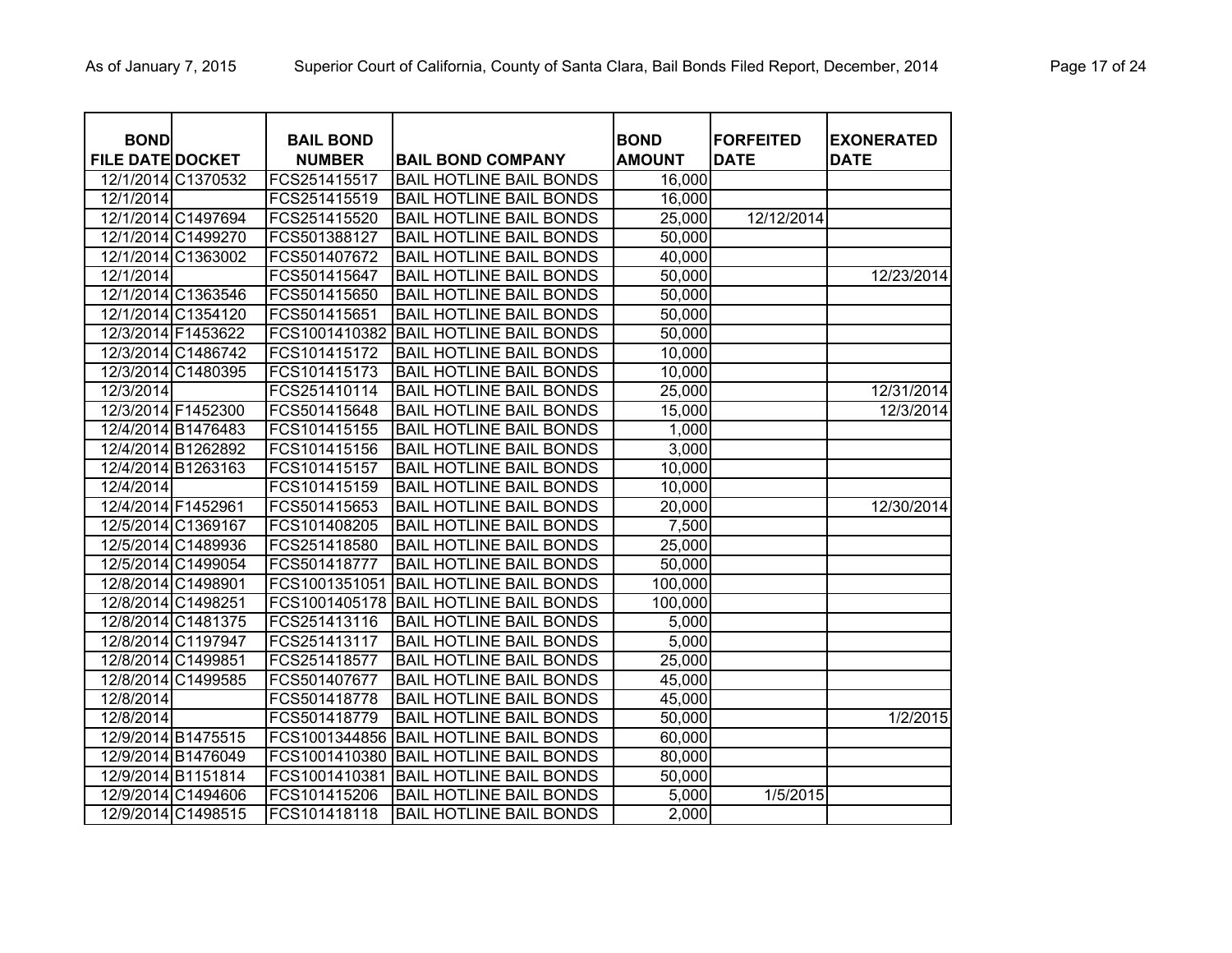| <b>BOND</b>             |                    | <b>BAIL BOND</b> |                                | <b>BOND</b>   | <b>FORFEITED</b> | <b>EXONERATED</b> |
|-------------------------|--------------------|------------------|--------------------------------|---------------|------------------|-------------------|
| <b>FILE DATE DOCKET</b> |                    | <b>NUMBER</b>    | <b>BAIL BOND COMPANY</b>       | <b>AMOUNT</b> | <b>DATE</b>      | <b>DATE</b>       |
|                         | 12/1/2014 C1370532 | FCS251415517     | <b>BAIL HOTLINE BAIL BONDS</b> | 16,000        |                  |                   |
| 12/1/2014               |                    | FCS251415519     | <b>BAIL HOTLINE BAIL BONDS</b> | 16,000        |                  |                   |
|                         | 12/1/2014 C1497694 | FCS251415520     | <b>BAIL HOTLINE BAIL BONDS</b> | 25,000        | 12/12/2014       |                   |
|                         | 12/1/2014 C1499270 | FCS501388127     | <b>BAIL HOTLINE BAIL BONDS</b> | 50,000        |                  |                   |
| 12/1/2014 C1363002      |                    | FCS501407672     | <b>BAIL HOTLINE BAIL BONDS</b> | 40,000        |                  |                   |
| 12/1/2014               |                    | FCS501415647     | <b>BAIL HOTLINE BAIL BONDS</b> | 50,000        |                  | 12/23/2014        |
| 12/1/2014 C1363546      |                    | FCS501415650     | <b>BAIL HOTLINE BAIL BONDS</b> | 50,000        |                  |                   |
| 12/1/2014 C1354120      |                    | FCS501415651     | <b>BAIL HOTLINE BAIL BONDS</b> | 50,000        |                  |                   |
| 12/3/2014 F1453622      |                    | FCS1001410382    | <b>BAIL HOTLINE BAIL BONDS</b> | 50,000        |                  |                   |
| 12/3/2014 C1486742      |                    | FCS101415172     | <b>BAIL HOTLINE BAIL BONDS</b> | 10,000        |                  |                   |
| 12/3/2014 C1480395      |                    | FCS101415173     | <b>BAIL HOTLINE BAIL BONDS</b> | 10,000        |                  |                   |
| 12/3/2014               |                    | FCS251410114     | <b>BAIL HOTLINE BAIL BONDS</b> | 25,000        |                  | 12/31/2014        |
| 12/3/2014 F1452300      |                    | FCS501415648     | <b>BAIL HOTLINE BAIL BONDS</b> | 15,000        |                  | 12/3/2014         |
| 12/4/2014 B1476483      |                    | FCS101415155     | <b>BAIL HOTLINE BAIL BONDS</b> | 1,000         |                  |                   |
| 12/4/2014 B1262892      |                    | FCS101415156     | <b>BAIL HOTLINE BAIL BONDS</b> | 3,000         |                  |                   |
| 12/4/2014 B1263163      |                    | FCS101415157     | <b>BAIL HOTLINE BAIL BONDS</b> | 10,000        |                  |                   |
| 12/4/2014               |                    | FCS101415159     | <b>BAIL HOTLINE BAIL BONDS</b> | 10,000        |                  |                   |
| 12/4/2014 F1452961      |                    | FCS501415653     | <b>BAIL HOTLINE BAIL BONDS</b> | 20,000        |                  | 12/30/2014        |
| 12/5/2014 C1369167      |                    | FCS101408205     | <b>BAIL HOTLINE BAIL BONDS</b> | 7,500         |                  |                   |
| 12/5/2014 C1489936      |                    | FCS251418580     | <b>BAIL HOTLINE BAIL BONDS</b> | 25,000        |                  |                   |
| 12/5/2014 C1499054      |                    | FCS501418777     | <b>BAIL HOTLINE BAIL BONDS</b> | 50,000        |                  |                   |
| 12/8/2014 C1498901      |                    | FCS1001351051    | <b>BAIL HOTLINE BAIL BONDS</b> | 100,000       |                  |                   |
| 12/8/2014 C1498251      |                    | FCS1001405178    | <b>BAIL HOTLINE BAIL BONDS</b> | 100,000       |                  |                   |
| 12/8/2014 C1481375      |                    | FCS251413116     | <b>BAIL HOTLINE BAIL BONDS</b> | 5,000         |                  |                   |
| 12/8/2014 C1197947      |                    | FCS251413117     | <b>BAIL HOTLINE BAIL BONDS</b> | 5,000         |                  |                   |
| 12/8/2014 C1499851      |                    | FCS251418577     | <b>BAIL HOTLINE BAIL BONDS</b> | 25,000        |                  |                   |
| 12/8/2014 C1499585      |                    | FCS501407677     | <b>BAIL HOTLINE BAIL BONDS</b> | 45,000        |                  |                   |
| 12/8/2014               |                    | FCS501418778     | <b>BAIL HOTLINE BAIL BONDS</b> | 45,000        |                  |                   |
| 12/8/2014               |                    | FCS501418779     | <b>BAIL HOTLINE BAIL BONDS</b> | 50,000        |                  | 1/2/2015          |
| 12/9/2014 B1475515      |                    | FCS1001344856    | <b>BAIL HOTLINE BAIL BONDS</b> | 60,000        |                  |                   |
| 12/9/2014 B1476049      |                    | FCS1001410380    | <b>BAIL HOTLINE BAIL BONDS</b> | 80,000        |                  |                   |
| 12/9/2014 B1151814      |                    | FCS1001410381    | <b>BAIL HOTLINE BAIL BONDS</b> | 50,000        |                  |                   |
| 12/9/2014 C1494606      |                    | FCS101415206     | <b>BAIL HOTLINE BAIL BONDS</b> | 5,000         | 1/5/2015         |                   |
| 12/9/2014 C1498515      |                    | FCS101418118     | <b>BAIL HOTLINE BAIL BONDS</b> | 2,000         |                  |                   |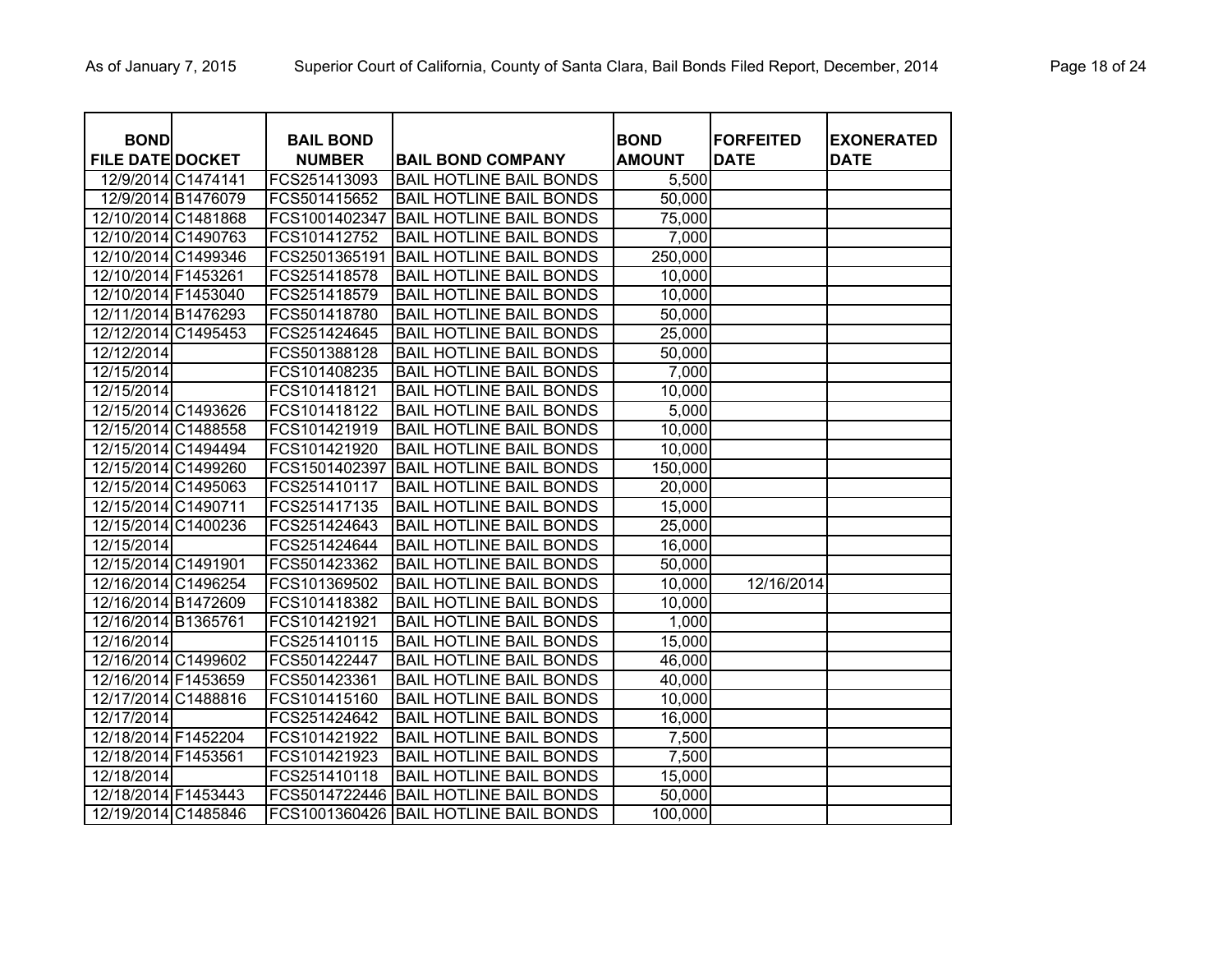| <b>BOND</b>             |                    | <b>BAIL BOND</b> |                                | <b>BOND</b>   | <b>FORFEITED</b> | <b>EXONERATED</b> |
|-------------------------|--------------------|------------------|--------------------------------|---------------|------------------|-------------------|
| <b>FILE DATE DOCKET</b> |                    | <b>NUMBER</b>    | <b>BAIL BOND COMPANY</b>       | <b>AMOUNT</b> | <b>DATE</b>      | <b>DATE</b>       |
| 12/9/2014 C1474141      |                    | FCS251413093     | <b>BAIL HOTLINE BAIL BONDS</b> | 5,500         |                  |                   |
|                         | 12/9/2014 B1476079 | FCS501415652     | <b>BAIL HOTLINE BAIL BONDS</b> | 50,000        |                  |                   |
| 12/10/2014 C1481868     |                    | FCS1001402347    | <b>BAIL HOTLINE BAIL BONDS</b> | 75,000        |                  |                   |
| 12/10/2014 C1490763     |                    | FCS101412752     | <b>BAIL HOTLINE BAIL BONDS</b> | 7,000         |                  |                   |
| 12/10/2014 C1499346     |                    | FCS2501365191    | <b>BAIL HOTLINE BAIL BONDS</b> | 250,000       |                  |                   |
| 12/10/2014 F1453261     |                    | FCS251418578     | <b>BAIL HOTLINE BAIL BONDS</b> | 10,000        |                  |                   |
| 12/10/2014 F1453040     |                    | FCS251418579     | <b>BAIL HOTLINE BAIL BONDS</b> | 10,000        |                  |                   |
| 12/11/2014 B1476293     |                    | FCS501418780     | <b>BAIL HOTLINE BAIL BONDS</b> | 50,000        |                  |                   |
| 12/12/2014 C1495453     |                    | FCS251424645     | <b>BAIL HOTLINE BAIL BONDS</b> | 25,000        |                  |                   |
| 12/12/2014              |                    | FCS501388128     | <b>BAIL HOTLINE BAIL BONDS</b> | 50,000        |                  |                   |
| 12/15/2014              |                    | FCS101408235     | <b>BAIL HOTLINE BAIL BONDS</b> | 7,000         |                  |                   |
| 12/15/2014              |                    | FCS101418121     | <b>BAIL HOTLINE BAIL BONDS</b> | 10,000        |                  |                   |
| 12/15/2014 C1493626     |                    | FCS101418122     | <b>BAIL HOTLINE BAIL BONDS</b> | 5,000         |                  |                   |
| 12/15/2014 C1488558     |                    | FCS101421919     | <b>BAIL HOTLINE BAIL BONDS</b> | 10,000        |                  |                   |
| 12/15/2014 C1494494     |                    | FCS101421920     | <b>BAIL HOTLINE BAIL BONDS</b> | 10,000        |                  |                   |
| 12/15/2014 C1499260     |                    | FCS1501402397    | <b>BAIL HOTLINE BAIL BONDS</b> | 150,000       |                  |                   |
| 12/15/2014 C1495063     |                    | FCS251410117     | <b>BAIL HOTLINE BAIL BONDS</b> | 20,000        |                  |                   |
| 12/15/2014 C1490711     |                    | FCS251417135     | <b>BAIL HOTLINE BAIL BONDS</b> | 15,000        |                  |                   |
| 12/15/2014 C1400236     |                    | FCS251424643     | <b>BAIL HOTLINE BAIL BONDS</b> | 25,000        |                  |                   |
| 12/15/2014              |                    | FCS251424644     | <b>BAIL HOTLINE BAIL BONDS</b> | 16,000        |                  |                   |
| 12/15/2014 C1491901     |                    | FCS501423362     | <b>BAIL HOTLINE BAIL BONDS</b> | 50,000        |                  |                   |
| 12/16/2014 C1496254     |                    | FCS101369502     | <b>BAIL HOTLINE BAIL BONDS</b> | 10,000        | 12/16/2014       |                   |
| 12/16/2014 B1472609     |                    | FCS101418382     | <b>BAIL HOTLINE BAIL BONDS</b> | 10,000        |                  |                   |
| 12/16/2014 B1365761     |                    | FCS101421921     | <b>BAIL HOTLINE BAIL BONDS</b> | 1,000         |                  |                   |
| 12/16/2014              |                    | FCS251410115     | <b>BAIL HOTLINE BAIL BONDS</b> | 15,000        |                  |                   |
| 12/16/2014 C1499602     |                    | FCS501422447     | <b>BAIL HOTLINE BAIL BONDS</b> | 46,000        |                  |                   |
| 12/16/2014 F1453659     |                    | FCS501423361     | <b>BAIL HOTLINE BAIL BONDS</b> | 40,000        |                  |                   |
| 12/17/2014 C1488816     |                    | FCS101415160     | <b>BAIL HOTLINE BAIL BONDS</b> | 10,000        |                  |                   |
| 12/17/2014              |                    | FCS251424642     | <b>BAIL HOTLINE BAIL BONDS</b> | 16,000        |                  |                   |
| 12/18/2014 F1452204     |                    | FCS101421922     | <b>BAIL HOTLINE BAIL BONDS</b> | 7,500         |                  |                   |
| 12/18/2014 F1453561     |                    | FCS101421923     | <b>BAIL HOTLINE BAIL BONDS</b> | 7,500         |                  |                   |
| 12/18/2014              |                    | FCS251410118     | <b>BAIL HOTLINE BAIL BONDS</b> | 15,000        |                  |                   |
| 12/18/2014 F1453443     |                    | FCS5014722446    | <b>BAIL HOTLINE BAIL BONDS</b> | 50,000        |                  |                   |
| 12/19/2014 C1485846     |                    | FCS1001360426    | <b>BAIL HOTLINE BAIL BONDS</b> | 100,000       |                  |                   |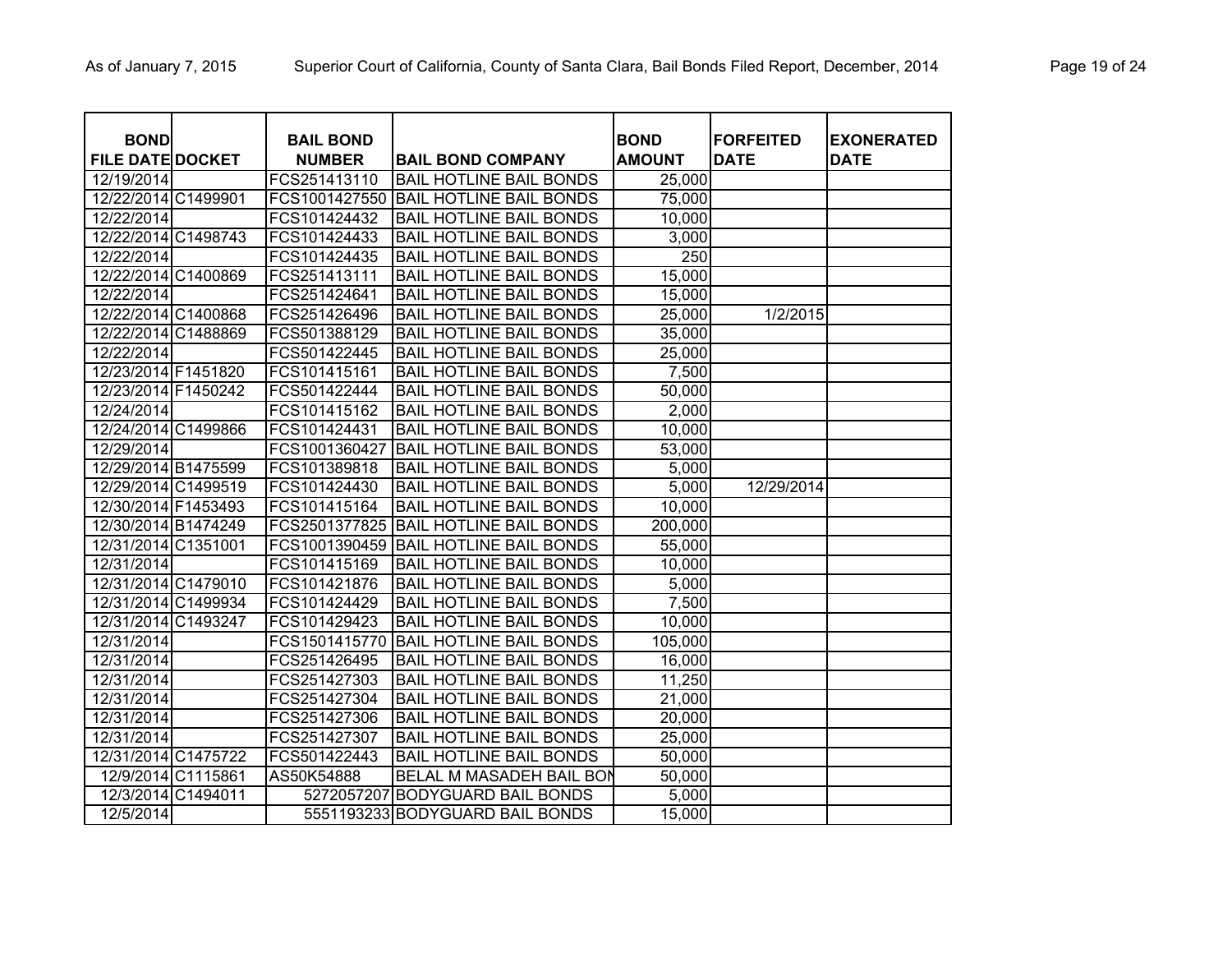| <b>BOND</b>             | <b>BAIL BOND</b> |                                 | <b>BOND</b>   | <b>FORFEITED</b> | <b>EXONERATED</b> |
|-------------------------|------------------|---------------------------------|---------------|------------------|-------------------|
| <b>FILE DATE DOCKET</b> | <b>NUMBER</b>    | <b>BAIL BOND COMPANY</b>        | <b>AMOUNT</b> | <b>DATE</b>      | <b>DATE</b>       |
| 12/19/2014              | FCS251413110     | <b>BAIL HOTLINE BAIL BONDS</b>  | 25,000        |                  |                   |
| 12/22/2014 C1499901     | FCS1001427550    | <b>BAIL HOTLINE BAIL BONDS</b>  | 75,000        |                  |                   |
| 12/22/2014              | FCS101424432     | <b>BAIL HOTLINE BAIL BONDS</b>  | 10,000        |                  |                   |
| 12/22/2014 C1498743     | FCS101424433     | <b>BAIL HOTLINE BAIL BONDS</b>  | 3,000         |                  |                   |
| 12/22/2014              | FCS101424435     | <b>BAIL HOTLINE BAIL BONDS</b>  | 250           |                  |                   |
| 12/22/2014 C1400869     | FCS251413111     | <b>BAIL HOTLINE BAIL BONDS</b>  | 15,000        |                  |                   |
| 12/22/2014              | FCS251424641     | <b>BAIL HOTLINE BAIL BONDS</b>  | 15,000        |                  |                   |
| 12/22/2014 C1400868     | FCS251426496     | <b>BAIL HOTLINE BAIL BONDS</b>  | 25,000        | 1/2/2015         |                   |
| 12/22/2014 C1488869     | FCS501388129     | <b>BAIL HOTLINE BAIL BONDS</b>  | 35,000        |                  |                   |
| 12/22/2014              | FCS501422445     | <b>BAIL HOTLINE BAIL BONDS</b>  | 25,000        |                  |                   |
| 12/23/2014 F1451820     | FCS101415161     | <b>BAIL HOTLINE BAIL BONDS</b>  | 7,500         |                  |                   |
| 12/23/2014 F1450242     | FCS501422444     | <b>BAIL HOTLINE BAIL BONDS</b>  | 50,000        |                  |                   |
| 12/24/2014              | FCS101415162     | <b>BAIL HOTLINE BAIL BONDS</b>  | 2,000         |                  |                   |
| 12/24/2014 C1499866     | FCS101424431     | <b>BAIL HOTLINE BAIL BONDS</b>  | 10,000        |                  |                   |
| 12/29/2014              | FCS1001360427    | <b>BAIL HOTLINE BAIL BONDS</b>  | 53,000        |                  |                   |
| 12/29/2014 B1475599     | FCS101389818     | <b>BAIL HOTLINE BAIL BONDS</b>  | 5,000         |                  |                   |
| 12/29/2014 C1499519     | FCS101424430     | <b>BAIL HOTLINE BAIL BONDS</b>  | 5,000         | 12/29/2014       |                   |
| 12/30/2014 F1453493     | FCS101415164     | <b>BAIL HOTLINE BAIL BONDS</b>  | 10,000        |                  |                   |
| 12/30/2014 B1474249     | FCS2501377825    | <b>BAIL HOTLINE BAIL BONDS</b>  | 200,000       |                  |                   |
| 12/31/2014 C1351001     | FCS1001390459    | <b>BAIL HOTLINE BAIL BONDS</b>  | 55,000        |                  |                   |
| 12/31/2014              | FCS101415169     | <b>BAIL HOTLINE BAIL BONDS</b>  | 10,000        |                  |                   |
| 12/31/2014 C1479010     | FCS101421876     | <b>BAIL HOTLINE BAIL BONDS</b>  | 5,000         |                  |                   |
| 12/31/2014 C1499934     | FCS101424429     | <b>BAIL HOTLINE BAIL BONDS</b>  | 7,500         |                  |                   |
| 12/31/2014 C1493247     | FCS101429423     | <b>BAIL HOTLINE BAIL BONDS</b>  | 10,000        |                  |                   |
| 12/31/2014              | FCS1501415770    | <b>BAIL HOTLINE BAIL BONDS</b>  | 105,000       |                  |                   |
| 12/31/2014              | FCS251426495     | <b>BAIL HOTLINE BAIL BONDS</b>  | 16,000        |                  |                   |
| 12/31/2014              | FCS251427303     | <b>BAIL HOTLINE BAIL BONDS</b>  | 11,250        |                  |                   |
| 12/31/2014              | FCS251427304     | <b>BAIL HOTLINE BAIL BONDS</b>  | 21,000        |                  |                   |
| 12/31/2014              | FCS251427306     | <b>BAIL HOTLINE BAIL BONDS</b>  | 20,000        |                  |                   |
| 12/31/2014              | FCS251427307     | <b>BAIL HOTLINE BAIL BONDS</b>  | 25,000        |                  |                   |
| 12/31/2014 C1475722     | FCS501422443     | <b>BAIL HOTLINE BAIL BONDS</b>  | 50,000        |                  |                   |
| 12/9/2014 C1115861      | AS50K54888       | BELAL M MASADEH BAIL BON        | 50,000        |                  |                   |
| 12/3/2014 C1494011      | 5272057207       | <b>BODYGUARD BAIL BONDS</b>     | 5,000         |                  |                   |
| 12/5/2014               |                  | 5551193233 BODYGUARD BAIL BONDS | 15,000        |                  |                   |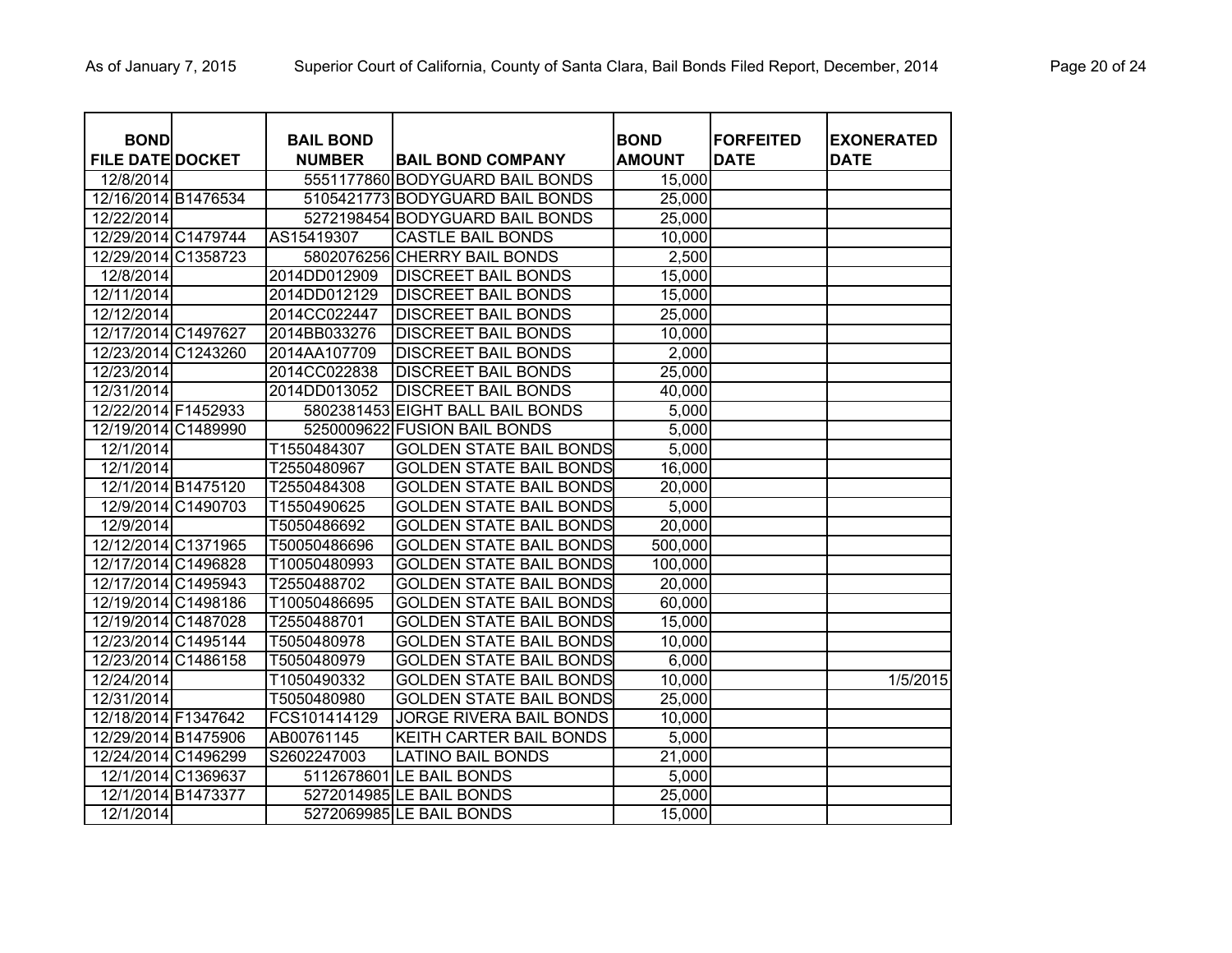| <b>BOND</b>             |                    | <b>BAIL BOND</b> |                                  | <b>BOND</b>   | <b>IFORFEITED</b> | <b>EXONERATED</b> |
|-------------------------|--------------------|------------------|----------------------------------|---------------|-------------------|-------------------|
| <b>FILE DATE DOCKET</b> |                    | <b>NUMBER</b>    | <b>BAIL BOND COMPANY</b>         | <b>AMOUNT</b> | <b>DATE</b>       | <b>DATE</b>       |
| 12/8/2014               |                    |                  | 5551177860 BODYGUARD BAIL BONDS  | 15,000        |                   |                   |
| 12/16/2014 B1476534     |                    |                  | 5105421773 BODYGUARD BAIL BONDS  | 25,000        |                   |                   |
| 12/22/2014              |                    |                  | 5272198454 BODYGUARD BAIL BONDS  | 25,000        |                   |                   |
| 12/29/2014 C1479744     |                    | AS15419307       | <b>CASTLE BAIL BONDS</b>         | 10,000        |                   |                   |
| 12/29/2014 C1358723     |                    |                  | 5802076256 CHERRY BAIL BONDS     | 2,500         |                   |                   |
| 12/8/2014               |                    | 2014DD012909     | <b>DISCREET BAIL BONDS</b>       | 15,000        |                   |                   |
| 12/11/2014              |                    | 2014DD012129     | <b>DISCREET BAIL BONDS</b>       | 15,000        |                   |                   |
| 12/12/2014              |                    | 2014CC022447     | <b>DISCREET BAIL BONDS</b>       | 25,000        |                   |                   |
| 12/17/2014 C1497627     |                    | 2014BB033276     | <b>DISCREET BAIL BONDS</b>       | 10,000        |                   |                   |
| 12/23/2014 C1243260     |                    | 2014AA107709     | <b>DISCREET BAIL BONDS</b>       | 2,000         |                   |                   |
| 12/23/2014              |                    | 2014CC022838     | <b>DISCREET BAIL BONDS</b>       | 25,000        |                   |                   |
| 12/31/2014              |                    | 2014DD013052     | <b>DISCREET BAIL BONDS</b>       | 40,000        |                   |                   |
| 12/22/2014 F1452933     |                    |                  | 5802381453 EIGHT BALL BAIL BONDS | 5,000         |                   |                   |
| 12/19/2014 C1489990     |                    | 5250009622       | <b>FUSION BAIL BONDS</b>         | 5,000         |                   |                   |
| 12/1/2014               |                    | T1550484307      | <b>GOLDEN STATE BAIL BONDS</b>   | 5,000         |                   |                   |
| 12/1/2014               |                    | T2550480967      | <b>GOLDEN STATE BAIL BONDS</b>   | 16,000        |                   |                   |
|                         | 12/1/2014 B1475120 | T2550484308      | <b>GOLDEN STATE BAIL BONDS</b>   | 20,000        |                   |                   |
|                         | 12/9/2014 C1490703 | T1550490625      | <b>GOLDEN STATE BAIL BONDS</b>   | 5,000         |                   |                   |
| 12/9/2014               |                    | T5050486692      | <b>GOLDEN STATE BAIL BONDS</b>   | 20,000        |                   |                   |
| 12/12/2014 C1371965     |                    | T50050486696     | <b>GOLDEN STATE BAIL BONDS</b>   | 500,000       |                   |                   |
| 12/17/2014 C1496828     |                    | T10050480993     | <b>GOLDEN STATE BAIL BONDS</b>   | 100,000       |                   |                   |
| 12/17/2014 C1495943     |                    | T2550488702      | <b>GOLDEN STATE BAIL BONDS</b>   | 20,000        |                   |                   |
| 12/19/2014 C1498186     |                    | T10050486695     | <b>GOLDEN STATE BAIL BONDS</b>   | 60,000        |                   |                   |
| 12/19/2014 C1487028     |                    | T2550488701      | <b>GOLDEN STATE BAIL BONDS</b>   | 15,000        |                   |                   |
| 12/23/2014 C1495144     |                    | T5050480978      | <b>GOLDEN STATE BAIL BONDS</b>   | 10,000        |                   |                   |
| 12/23/2014 C1486158     |                    | T5050480979      | <b>GOLDEN STATE BAIL BONDS</b>   | 6,000         |                   |                   |
| 12/24/2014              |                    | T1050490332      | <b>GOLDEN STATE BAIL BONDS</b>   | 10,000        |                   | 1/5/2015          |
| 12/31/2014              |                    | T5050480980      | <b>GOLDEN STATE BAIL BONDS</b>   | 25,000        |                   |                   |
| 12/18/2014 F1347642     |                    | FCS101414129     | <b>JORGE RIVERA BAIL BONDS</b>   | 10,000        |                   |                   |
| 12/29/2014 B1475906     |                    | AB00761145       | <b>KEITH CARTER BAIL BONDS</b>   | 5,000         |                   |                   |
| 12/24/2014 C1496299     |                    | S2602247003      | <b>LATINO BAIL BONDS</b>         | 21,000        |                   |                   |
|                         | 12/1/2014 C1369637 |                  | 5112678601 LE BAIL BONDS         | 5,000         |                   |                   |
|                         | 12/1/2014 B1473377 |                  | 5272014985 LE BAIL BONDS         | 25,000        |                   |                   |
| 12/1/2014               |                    |                  | 5272069985 LE BAIL BONDS         | 15,000        |                   |                   |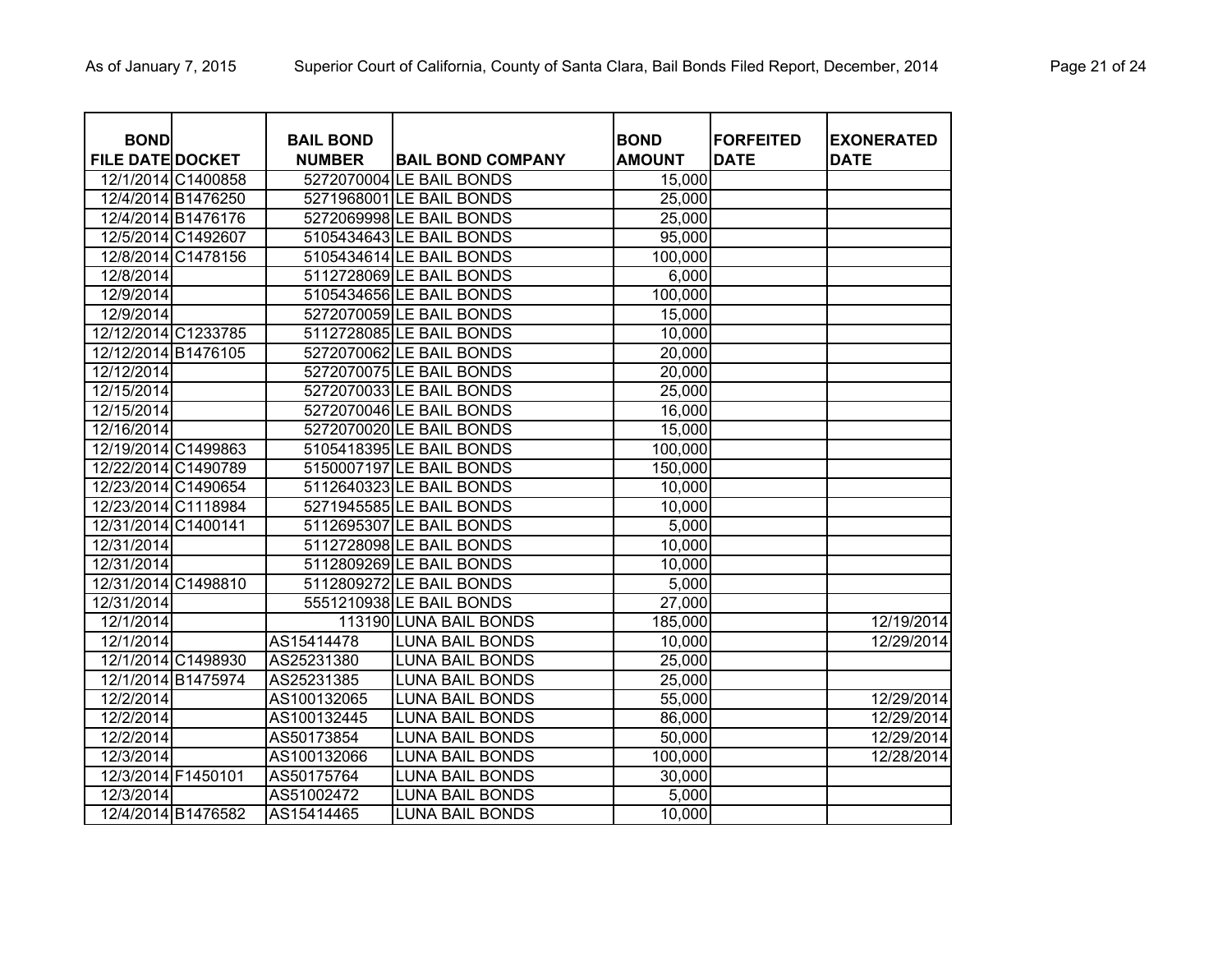| <b>BOND</b>             |                    | <b>BAIL BOND</b> |                          | <b>BOND</b>   | <b>FORFEITED</b> | <b>EXONERATED</b> |
|-------------------------|--------------------|------------------|--------------------------|---------------|------------------|-------------------|
| <b>FILE DATE DOCKET</b> |                    | <b>NUMBER</b>    | <b>BAIL BOND COMPANY</b> | <b>AMOUNT</b> | <b>DATE</b>      | <b>DATE</b>       |
|                         | 12/1/2014 C1400858 |                  | 5272070004 LE BAIL BONDS | 15,000        |                  |                   |
|                         | 12/4/2014 B1476250 |                  | 5271968001 LE BAIL BONDS | 25,000        |                  |                   |
|                         | 12/4/2014 B1476176 |                  | 5272069998 LE BAIL BONDS | 25,000        |                  |                   |
|                         | 12/5/2014 C1492607 |                  | 5105434643 LE BAIL BONDS | 95,000        |                  |                   |
|                         | 12/8/2014 C1478156 |                  | 5105434614 LE BAIL BONDS | 100,000       |                  |                   |
| 12/8/2014               |                    |                  | 5112728069 LE BAIL BONDS | 6,000         |                  |                   |
| 12/9/2014               |                    |                  | 5105434656LE BAIL BONDS  | 100,000       |                  |                   |
| 12/9/2014               |                    |                  | 5272070059 LE BAIL BONDS | 15,000        |                  |                   |
| 12/12/2014 C1233785     |                    |                  | 5112728085 LE BAIL BONDS | 10,000        |                  |                   |
| 12/12/2014 B1476105     |                    |                  | 5272070062 LE BAIL BONDS | 20,000        |                  |                   |
| 12/12/2014              |                    |                  | 5272070075 LE BAIL BONDS | 20,000        |                  |                   |
| 12/15/2014              |                    |                  | 5272070033 LE BAIL BONDS | 25,000        |                  |                   |
| 12/15/2014              |                    |                  | 5272070046 LE BAIL BONDS | 16,000        |                  |                   |
| 12/16/2014              |                    |                  | 5272070020 LE BAIL BONDS | 15,000        |                  |                   |
| 12/19/2014 C1499863     |                    |                  | 5105418395 LE BAIL BONDS | 100,000       |                  |                   |
| 12/22/2014 C1490789     |                    |                  | 5150007197 LE BAIL BONDS | 150,000       |                  |                   |
| 12/23/2014 C1490654     |                    |                  | 5112640323 LE BAIL BONDS | 10,000        |                  |                   |
| 12/23/2014 C1118984     |                    |                  | 5271945585 LE BAIL BONDS | 10,000        |                  |                   |
| 12/31/2014 C1400141     |                    |                  | 5112695307 LE BAIL BONDS | 5,000         |                  |                   |
| 12/31/2014              |                    |                  | 5112728098 LE BAIL BONDS | 10,000        |                  |                   |
| 12/31/2014              |                    |                  | 5112809269 LE BAIL BONDS | 10,000        |                  |                   |
| 12/31/2014 C1498810     |                    |                  | 5112809272 LE BAIL BONDS | 5,000         |                  |                   |
| 12/31/2014              |                    |                  | 5551210938 LE BAIL BONDS | 27,000        |                  |                   |
| 12/1/2014               |                    |                  | 113190 LUNA BAIL BONDS   | 185,000       |                  | 12/19/2014        |
| 12/1/2014               |                    | AS15414478       | <b>LUNA BAIL BONDS</b>   | 10,000        |                  | 12/29/2014        |
|                         | 12/1/2014 C1498930 | AS25231380       | <b>LUNA BAIL BONDS</b>   | 25,000        |                  |                   |
|                         | 12/1/2014 B1475974 | AS25231385       | <b>LUNA BAIL BONDS</b>   | 25,000        |                  |                   |
| 12/2/2014               |                    | AS100132065      | <b>LUNA BAIL BONDS</b>   | 55,000        |                  | 12/29/2014        |
| 12/2/2014               |                    | AS100132445      | <b>LUNA BAIL BONDS</b>   | 86,000        |                  | 12/29/2014        |
| 12/2/2014               |                    | AS50173854       | <b>LUNA BAIL BONDS</b>   | 50,000        |                  | 12/29/2014        |
| 12/3/2014               |                    | AS100132066      | <b>LUNA BAIL BONDS</b>   | 100,000       |                  | 12/28/2014        |
|                         | 12/3/2014 F1450101 | AS50175764       | <b>LUNA BAIL BONDS</b>   | 30,000        |                  |                   |
| 12/3/2014               |                    | AS51002472       | <b>LUNA BAIL BONDS</b>   | 5,000         |                  |                   |
|                         | 12/4/2014 B1476582 | AS15414465       | <b>LUNA BAIL BONDS</b>   | 10,000        |                  |                   |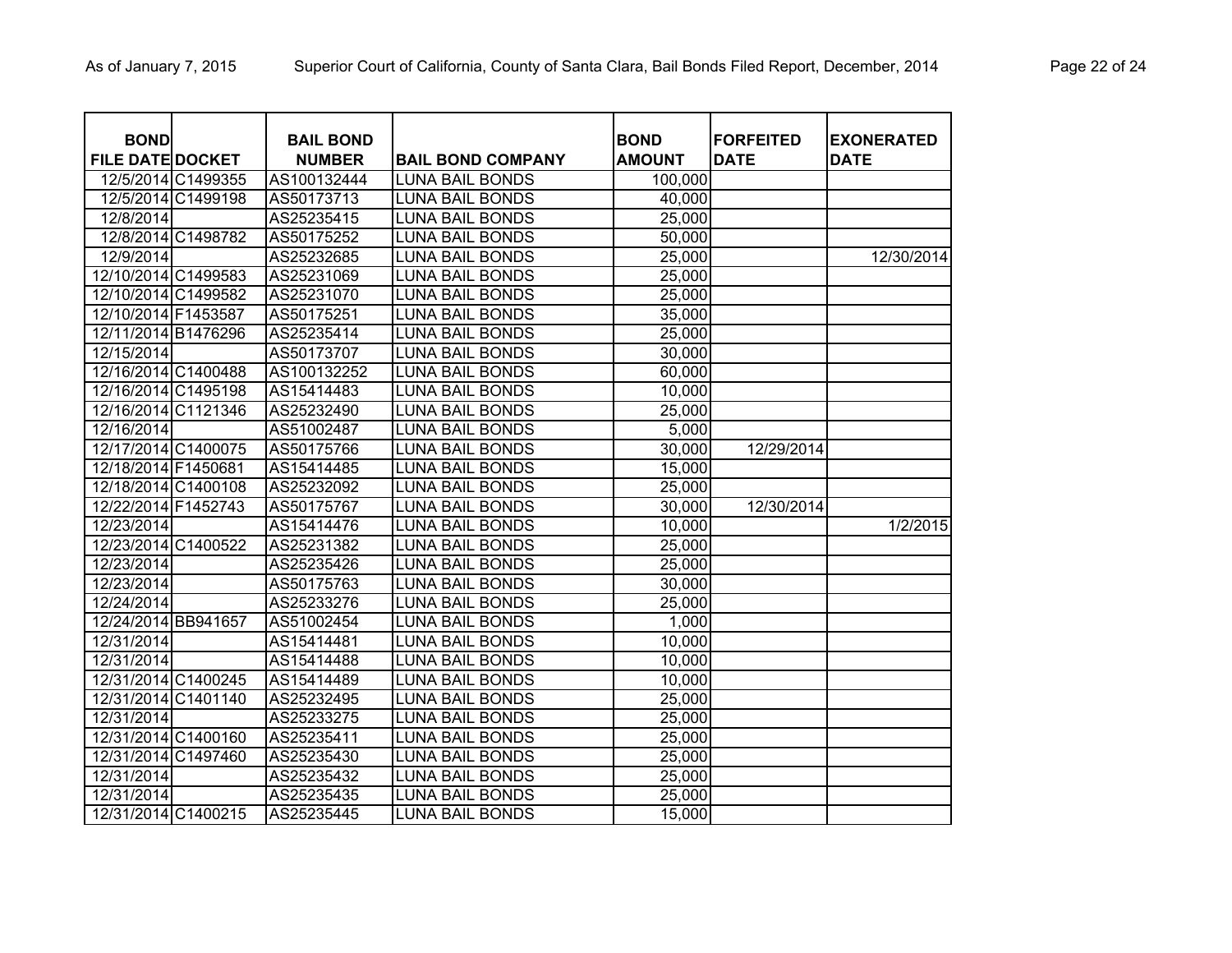| <b>BOND</b>             |                    | <b>BAIL BOND</b> |                          | <b>BOND</b>   | <b>FORFEITED</b> | <b>EXONERATED</b> |
|-------------------------|--------------------|------------------|--------------------------|---------------|------------------|-------------------|
| <b>FILE DATE DOCKET</b> |                    | <b>NUMBER</b>    | <b>BAIL BOND COMPANY</b> | <b>AMOUNT</b> | <b>DATE</b>      | <b>DATE</b>       |
|                         | 12/5/2014 C1499355 | AS100132444      | <b>LUNA BAIL BONDS</b>   | 100,000       |                  |                   |
|                         | 12/5/2014 C1499198 | AS50173713       | <b>LUNA BAIL BONDS</b>   | 40,000        |                  |                   |
| 12/8/2014               |                    | AS25235415       | <b>LUNA BAIL BONDS</b>   | 25,000        |                  |                   |
|                         | 12/8/2014 C1498782 | AS50175252       | <b>LUNA BAIL BONDS</b>   | 50,000        |                  |                   |
| 12/9/2014               |                    | AS25232685       | <b>LUNA BAIL BONDS</b>   | 25,000        |                  | 12/30/2014        |
| 12/10/2014 C1499583     |                    | AS25231069       | <b>LUNA BAIL BONDS</b>   | 25,000        |                  |                   |
| 12/10/2014 C1499582     |                    | AS25231070       | <b>LUNA BAIL BONDS</b>   | 25,000        |                  |                   |
| 12/10/2014 F1453587     |                    | AS50175251       | <b>LUNA BAIL BONDS</b>   | 35,000        |                  |                   |
| 12/11/2014 B1476296     |                    | AS25235414       | <b>LUNA BAIL BONDS</b>   | 25,000        |                  |                   |
| 12/15/2014              |                    | AS50173707       | <b>LUNA BAIL BONDS</b>   | 30,000        |                  |                   |
| 12/16/2014 C1400488     |                    | AS100132252      | <b>LUNA BAIL BONDS</b>   | 60,000        |                  |                   |
| 12/16/2014 C1495198     |                    | AS15414483       | <b>LUNA BAIL BONDS</b>   | 10,000        |                  |                   |
| 12/16/2014 C1121346     |                    | AS25232490       | <b>LUNA BAIL BONDS</b>   | 25,000        |                  |                   |
| 12/16/2014              |                    | AS51002487       | <b>LUNA BAIL BONDS</b>   | 5,000         |                  |                   |
| 12/17/2014 C1400075     |                    | AS50175766       | <b>LUNA BAIL BONDS</b>   | 30,000        | 12/29/2014       |                   |
| 12/18/2014 F1450681     |                    | AS15414485       | <b>LUNA BAIL BONDS</b>   | 15,000        |                  |                   |
| 12/18/2014 C1400108     |                    | AS25232092       | <b>LUNA BAIL BONDS</b>   | 25,000        |                  |                   |
| 12/22/2014 F1452743     |                    | AS50175767       | <b>LUNA BAIL BONDS</b>   | 30,000        | 12/30/2014       |                   |
| 12/23/2014              |                    | AS15414476       | <b>LUNA BAIL BONDS</b>   | 10,000        |                  | 1/2/2015          |
| 12/23/2014 C1400522     |                    | AS25231382       | <b>LUNA BAIL BONDS</b>   | 25,000        |                  |                   |
| 12/23/2014              |                    | AS25235426       | <b>LUNA BAIL BONDS</b>   | 25,000        |                  |                   |
| 12/23/2014              |                    | AS50175763       | <b>LUNA BAIL BONDS</b>   | 30,000        |                  |                   |
| 12/24/2014              |                    | AS25233276       | <b>LUNA BAIL BONDS</b>   | 25,000        |                  |                   |
| 12/24/2014 BB941657     |                    | AS51002454       | <b>LUNA BAIL BONDS</b>   | 1,000         |                  |                   |
| 12/31/2014              |                    | AS15414481       | <b>LUNA BAIL BONDS</b>   | 10,000        |                  |                   |
| 12/31/2014              |                    | AS15414488       | <b>LUNA BAIL BONDS</b>   | 10,000        |                  |                   |
| 12/31/2014 C1400245     |                    | AS15414489       | <b>LUNA BAIL BONDS</b>   | 10,000        |                  |                   |
| 12/31/2014 C1401140     |                    | AS25232495       | <b>LUNA BAIL BONDS</b>   | 25,000        |                  |                   |
| 12/31/2014              |                    | AS25233275       | <b>LUNA BAIL BONDS</b>   | 25,000        |                  |                   |
| 12/31/2014 C1400160     |                    | AS25235411       | <b>LUNA BAIL BONDS</b>   | 25,000        |                  |                   |
| 12/31/2014 C1497460     |                    | AS25235430       | <b>LUNA BAIL BONDS</b>   | 25,000        |                  |                   |
| 12/31/2014              |                    | AS25235432       | <b>LUNA BAIL BONDS</b>   | 25,000        |                  |                   |
| 12/31/2014              |                    | AS25235435       | <b>LUNA BAIL BONDS</b>   | 25,000        |                  |                   |
| 12/31/2014 C1400215     |                    | AS25235445       | <b>LUNA BAIL BONDS</b>   | 15,000        |                  |                   |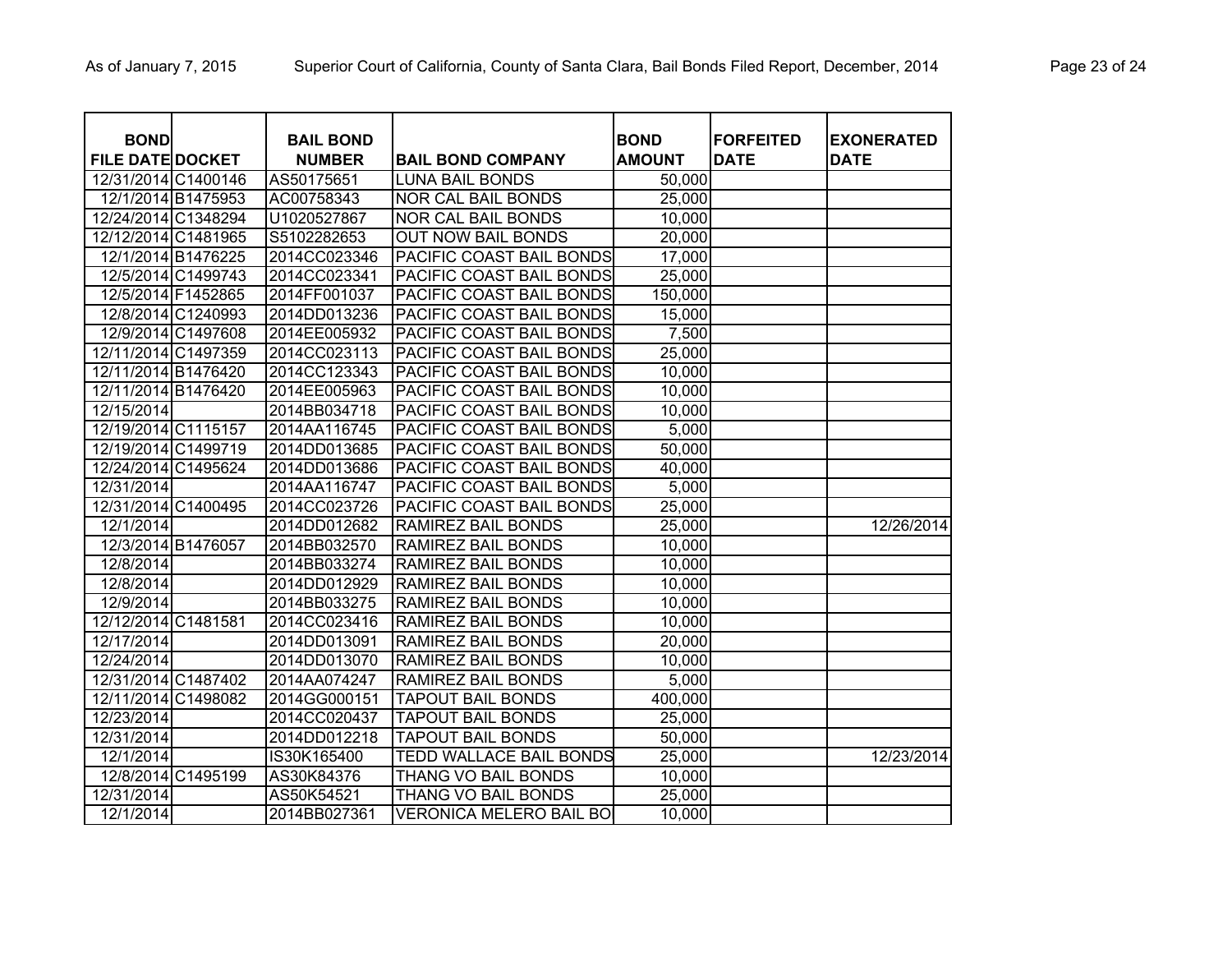| <b>BOND</b><br><b>FILE DATE DOCKET</b> | <b>BAIL BOND</b><br><b>NUMBER</b> | <b>BAIL BOND COMPANY</b>       | <b>BOND</b><br><b>AMOUNT</b> | <b>FORFEITED</b><br><b>DATE</b> | <b>EXONERATED</b><br><b>DATE</b> |
|----------------------------------------|-----------------------------------|--------------------------------|------------------------------|---------------------------------|----------------------------------|
| 12/31/2014 C1400146                    | AS50175651                        | <b>LUNA BAIL BONDS</b>         | 50,000                       |                                 |                                  |
| 12/1/2014 B1475953                     | AC00758343                        | NOR CAL BAIL BONDS             | 25,000                       |                                 |                                  |
| 12/24/2014 C1348294                    | U1020527867                       | NOR CAL BAIL BONDS             | 10,000                       |                                 |                                  |
| 12/12/2014 C1481965                    | S5102282653                       | <b>OUT NOW BAIL BONDS</b>      | 20,000                       |                                 |                                  |
| 12/1/2014 B1476225                     | 2014CC023346                      | PACIFIC COAST BAIL BONDS       | 17,000                       |                                 |                                  |
| 12/5/2014 C1499743                     | 2014CC023341                      | PACIFIC COAST BAIL BONDS       | 25,000                       |                                 |                                  |
| 12/5/2014 F1452865                     | 2014FF001037                      | PACIFIC COAST BAIL BONDS       | 150,000                      |                                 |                                  |
| 12/8/2014 C1240993                     | 2014DD013236                      | PACIFIC COAST BAIL BONDS       | 15,000                       |                                 |                                  |
| 12/9/2014 C1497608                     | 2014EE005932                      | PACIFIC COAST BAIL BONDS       | 7,500                        |                                 |                                  |
| 12/11/2014 C1497359                    | 2014CC023113                      | PACIFIC COAST BAIL BONDS       | 25,000                       |                                 |                                  |
| 12/11/2014 B1476420                    | 2014CC123343                      | PACIFIC COAST BAIL BONDS       | 10,000                       |                                 |                                  |
| 12/11/2014 B1476420                    | 2014EE005963                      | PACIFIC COAST BAIL BONDS       | 10,000                       |                                 |                                  |
| 12/15/2014                             | 2014BB034718                      | PACIFIC COAST BAIL BONDS       | 10,000                       |                                 |                                  |
| 12/19/2014 C1115157                    | 2014AA116745                      | PACIFIC COAST BAIL BONDS       | 5,000                        |                                 |                                  |
| 12/19/2014 C1499719                    | 2014DD013685                      | PACIFIC COAST BAIL BONDS       | 50,000                       |                                 |                                  |
| 12/24/2014 C1495624                    | 2014DD013686                      | PACIFIC COAST BAIL BONDS       | 40,000                       |                                 |                                  |
| 12/31/2014                             | 2014AA116747                      | PACIFIC COAST BAIL BONDS       | 5,000                        |                                 |                                  |
| 12/31/2014 C1400495                    | 2014CC023726                      | PACIFIC COAST BAIL BONDS       | 25,000                       |                                 |                                  |
| 12/1/2014                              | 2014DD012682                      | RAMIREZ BAIL BONDS             | 25,000                       |                                 | 12/26/2014                       |
| 12/3/2014 B1476057                     | 2014BB032570                      | RAMIREZ BAIL BONDS             | 10,000                       |                                 |                                  |
| 12/8/2014                              | 2014BB033274                      | RAMIREZ BAIL BONDS             | 10,000                       |                                 |                                  |
| 12/8/2014                              | 2014DD012929                      | RAMIREZ BAIL BONDS             | 10,000                       |                                 |                                  |
| 12/9/2014                              | 2014BB033275                      | RAMIREZ BAIL BONDS             | 10,000                       |                                 |                                  |
| 12/12/2014 C1481581                    | 2014CC023416                      | RAMIREZ BAIL BONDS             | 10,000                       |                                 |                                  |
| 12/17/2014                             | 2014DD013091                      | RAMIREZ BAIL BONDS             | 20,000                       |                                 |                                  |
| 12/24/2014                             | 2014DD013070                      | RAMIREZ BAIL BONDS             | 10,000                       |                                 |                                  |
| 12/31/2014 C1487402                    | 2014AA074247                      | RAMIREZ BAIL BONDS             | 5,000                        |                                 |                                  |
| 12/11/2014 C1498082                    | 2014GG000151                      | <b>TAPOUT BAIL BONDS</b>       | 400,000                      |                                 |                                  |
| 12/23/2014                             | 2014CC020437                      | <b>TAPOUT BAIL BONDS</b>       | 25,000                       |                                 |                                  |
| 12/31/2014                             | 2014DD012218                      | <b>TAPOUT BAIL BONDS</b>       | 50,000                       |                                 |                                  |
| 12/1/2014                              | IS30K165400                       | <b>TEDD WALLACE BAIL BONDS</b> | 25,000                       |                                 | 12/23/2014                       |
| 12/8/2014 C1495199                     | AS30K84376                        | THANG VO BAIL BONDS            | 10,000                       |                                 |                                  |
| 12/31/2014                             | AS50K54521                        | THANG VO BAIL BONDS            | 25,000                       |                                 |                                  |
| 12/1/2014                              | 2014BB027361                      | <b>VERONICA MELERO BAIL BO</b> | 10,000                       |                                 |                                  |